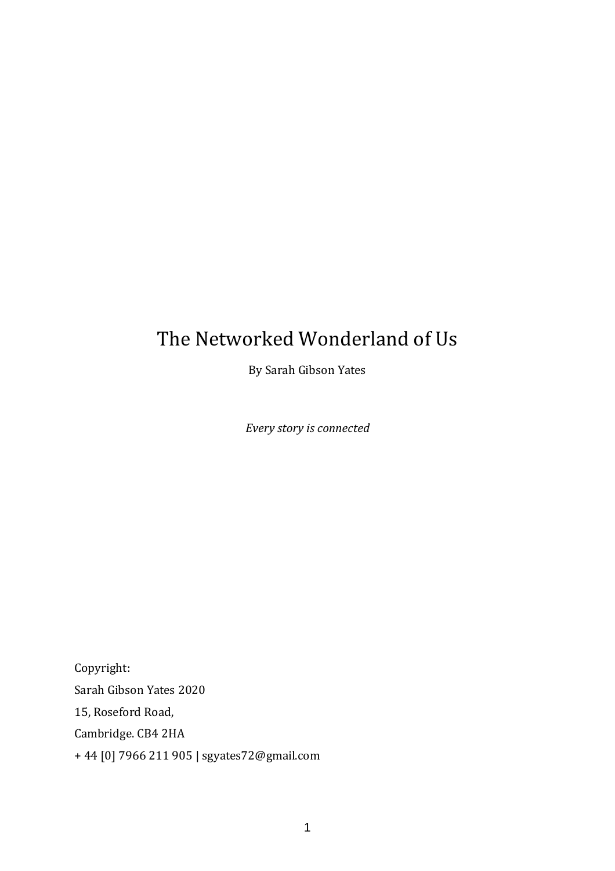# The Networked Wonderland of Us

By Sarah Gibson Yates

*Every story is connected*

Copyright: Sarah Gibson Yates 2020 15, Roseford Road, Cambridge. CB4 2HA + 44 [0] 7966 211 905 | sgyates72@gmail.com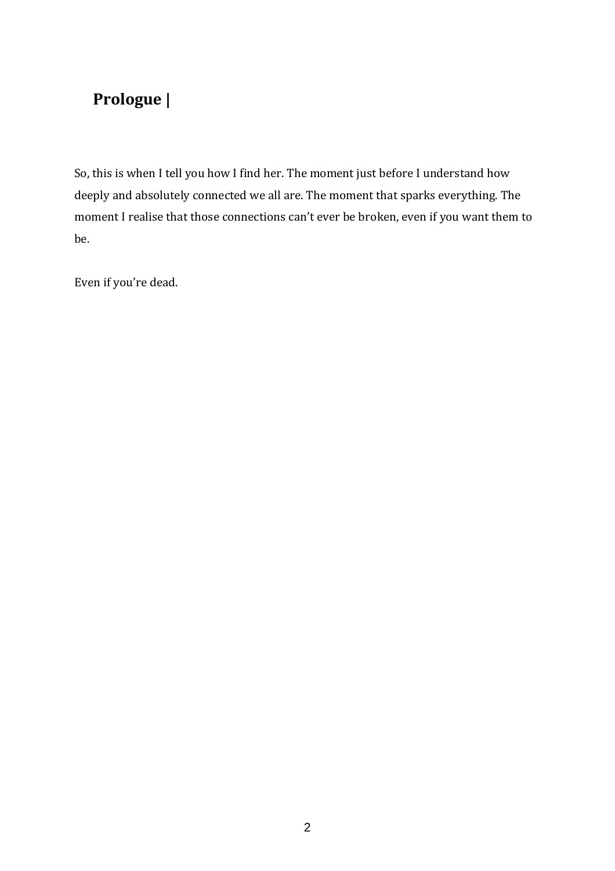# **Prologue |**

So, this is when I tell you how I find her. The moment just before I understand how deeply and absolutely connected we all are. The moment that sparks everything. The moment I realise that those connections can't ever be broken, even if you want them to be.

Even if you're dead.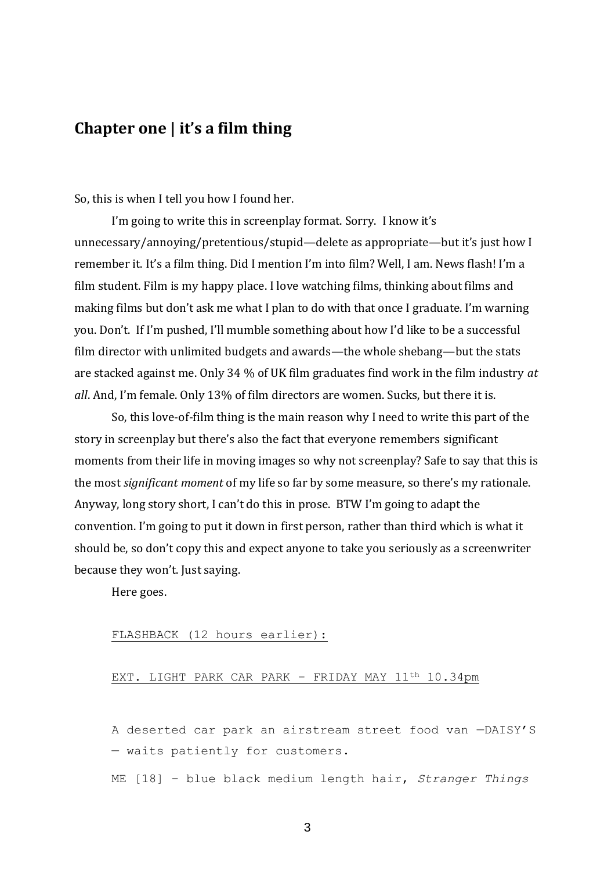### **Chapter one | it's a film thing**

So, this is when I tell you how I found her.

I'm going to write this in screenplay format. Sorry. I know it's unnecessary/annoying/pretentious/stupid—delete as appropriate—but it's just how I remember it. It's a film thing. Did I mention I'm into film? Well, I am. News flash! I'm a film student. Film is my happy place. I love watching films, thinking about films and making films but don't ask me what I plan to do with that once I graduate. I'm warning you. Don't. If I'm pushed, I'll mumble something about how I'd like to be a successful film director with unlimited budgets and awards—the whole shebang—but the stats are stacked against me. Only 34 % of UK film graduates find work in the film industry *at all*. And, I'm female. Only 13% of film directors are women. Sucks, but there it is.

So, this love-of-film thing is the main reason why I need to write this part of the story in screenplay but there's also the fact that everyone remembers significant moments from their life in moving images so why not screenplay? Safe to say that this is the most *significant moment* of my life so far by some measure, so there's my rationale. Anyway, long story short, I can't do this in prose. BTW I'm going to adapt the convention. I'm going to put it down in first person, rather than third which is what it should be, so don't copy this and expect anyone to take you seriously as a screenwriter because they won't. Just saying.

Here goes.

### FLASHBACK (12 hours earlier):

### EXT. LIGHT PARK CAR PARK - FRIDAY MAY 11<sup>th</sup> 10.34pm

A deserted car park an airstream street food van —DAISY'S — waits patiently for customers.

ME [18] – blue black medium length hair, *Stranger Things*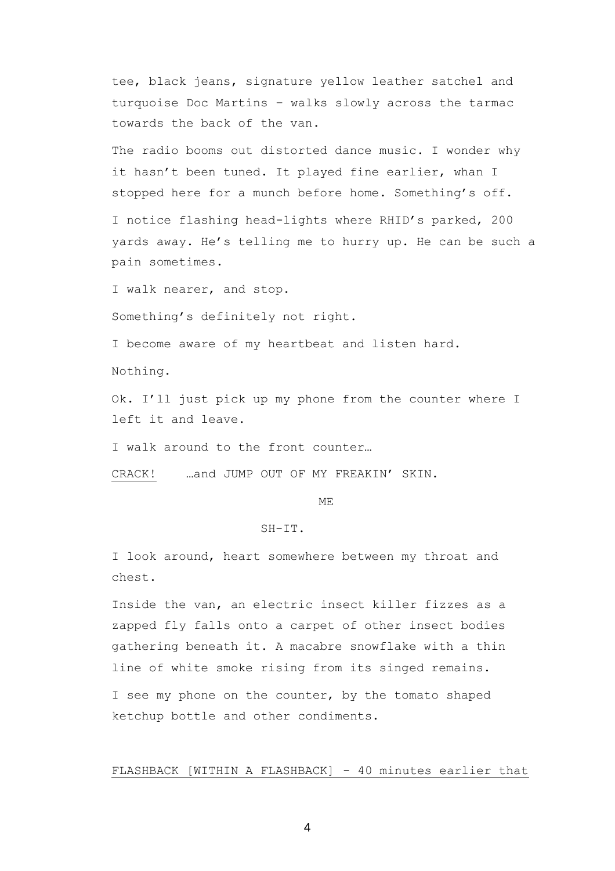tee, black jeans, signature yellow leather satchel and turquoise Doc Martins – walks slowly across the tarmac towards the back of the van.

The radio booms out distorted dance music. I wonder why it hasn't been tuned. It played fine earlier, whan I stopped here for a munch before home. Something's off.

I notice flashing head-lights where RHID's parked, 200 yards away. He's telling me to hurry up. He can be such a pain sometimes.

I walk nearer, and stop.

Something's definitely not right.

I become aware of my heartbeat and listen hard.

Nothing.

Ok. I'll just pick up my phone from the counter where I left it and leave.

I walk around to the front counter…

CRACK! …and JUMP OUT OF MY FREAKIN' SKIN.

ME

### $SH-TT$

I look around, heart somewhere between my throat and chest.

Inside the van, an electric insect killer fizzes as a zapped fly falls onto a carpet of other insect bodies gathering beneath it. A macabre snowflake with a thin line of white smoke rising from its singed remains. I see my phone on the counter, by the tomato shaped ketchup bottle and other condiments.

FLASHBACK [WITHIN A FLASHBACK] - 40 minutes earlier that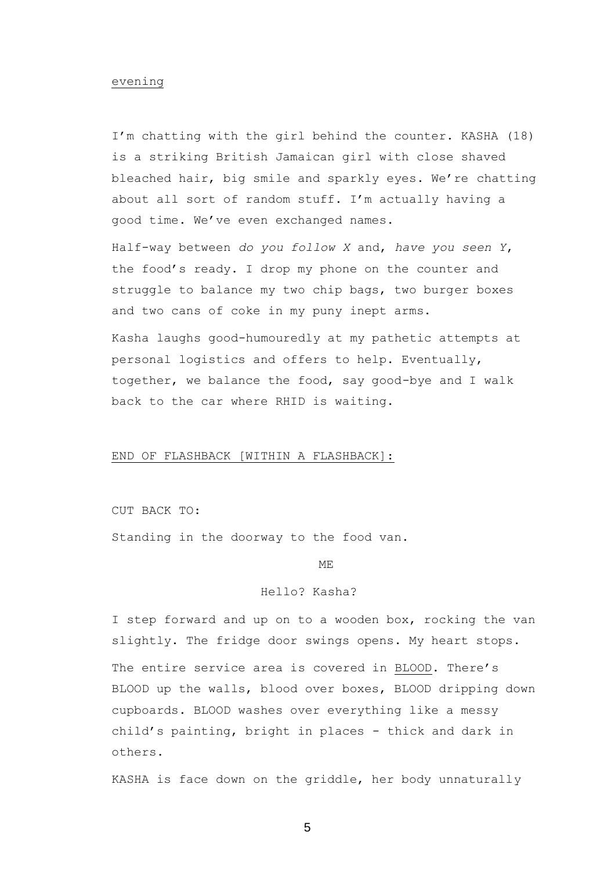### evening

I'm chatting with the girl behind the counter. KASHA (18) is a striking British Jamaican girl with close shaved bleached hair, big smile and sparkly eyes. We're chatting about all sort of random stuff. I'm actually having a good time. We've even exchanged names.

Half-way between *do you follow X* and, *have you seen Y*, the food's ready. I drop my phone on the counter and struggle to balance my two chip bags, two burger boxes and two cans of coke in my puny inept arms.

Kasha laughs good-humouredly at my pathetic attempts at personal logistics and offers to help. Eventually, together, we balance the food, say good-bye and I walk back to the car where RHID is waiting.

#### END OF FLASHBACK [WITHIN A FLASHBACK]:

CUT BACK TO:

Standing in the doorway to the food van.

ME

### Hello? Kasha?

I step forward and up on to a wooden box, rocking the van slightly. The fridge door swings opens. My heart stops.

The entire service area is covered in BLOOD. There's BLOOD up the walls, blood over boxes, BLOOD dripping down cupboards. BLOOD washes over everything like a messy child's painting, bright in places - thick and dark in others.

KASHA is face down on the griddle, her body unnaturally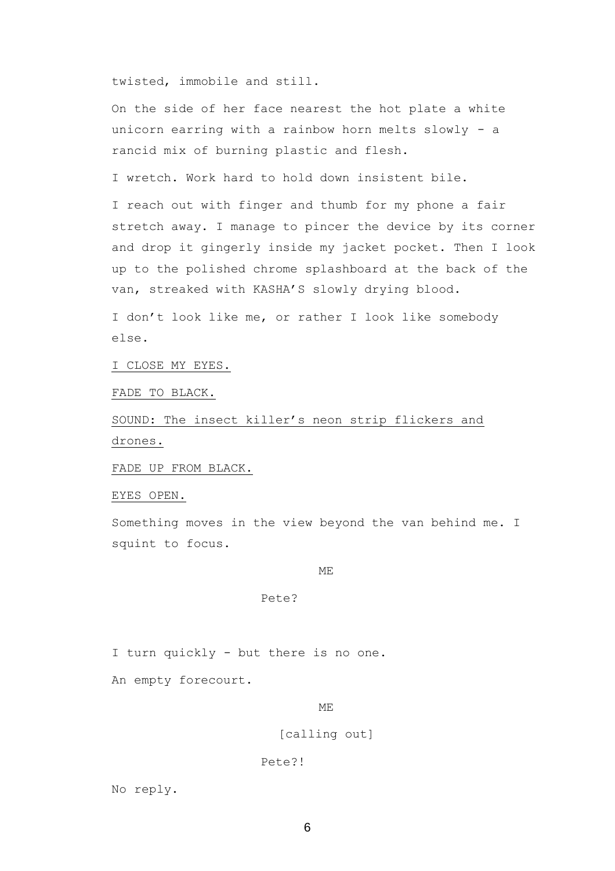twisted, immobile and still.

On the side of her face nearest the hot plate a white unicorn earring with a rainbow horn melts slowly - a rancid mix of burning plastic and flesh.

I wretch. Work hard to hold down insistent bile.

I reach out with finger and thumb for my phone a fair stretch away. I manage to pincer the device by its corner and drop it gingerly inside my jacket pocket. Then I look up to the polished chrome splashboard at the back of the van, streaked with KASHA'S slowly drying blood.

I don't look like me, or rather I look like somebody else.

I CLOSE MY EYES.

FADE TO BLACK.

SOUND: The insect killer's neon strip flickers and drones.

FADE UP FROM BLACK.

EYES OPEN.

Something moves in the view beyond the van behind me. I squint to focus.

ME

### Pete?

I turn quickly - but there is no one.

An empty forecourt.

ME

### [calling out]

#### Pete?!

No reply.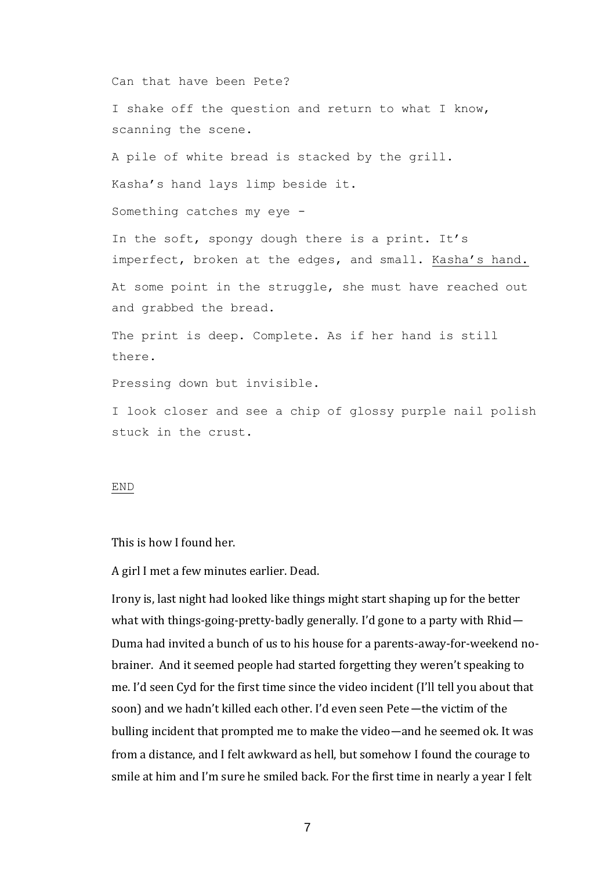Can that have been Pete?

I shake off the question and return to what I know, scanning the scene.

A pile of white bread is stacked by the grill.

Kasha's hand lays limp beside it.

Something catches my eye -

In the soft, spongy dough there is a print. It's imperfect, broken at the edges, and small. Kasha's hand. At some point in the struggle, she must have reached out and grabbed the bread.

The print is deep. Complete. As if her hand is still there.

Pressing down but invisible.

I look closer and see a chip of glossy purple nail polish stuck in the crust.

#### END

This is how I found her.

A girl I met a few minutes earlier. Dead.

Irony is, last night had looked like things might start shaping up for the better what with things-going-pretty-badly generally. I'd gone to a party with Rhid— Duma had invited a bunch of us to his house for a parents-away-for-weekend nobrainer. And it seemed people had started forgetting they weren't speaking to me. I'd seen Cyd for the first time since the video incident (I'll tell you about that soon) and we hadn't killed each other. I'd even seen Pete—the victim of the bulling incident that prompted me to make the video—and he seemed ok. It was from a distance, and I felt awkward as hell, but somehow I found the courage to smile at him and I'm sure he smiled back. For the first time in nearly a year I felt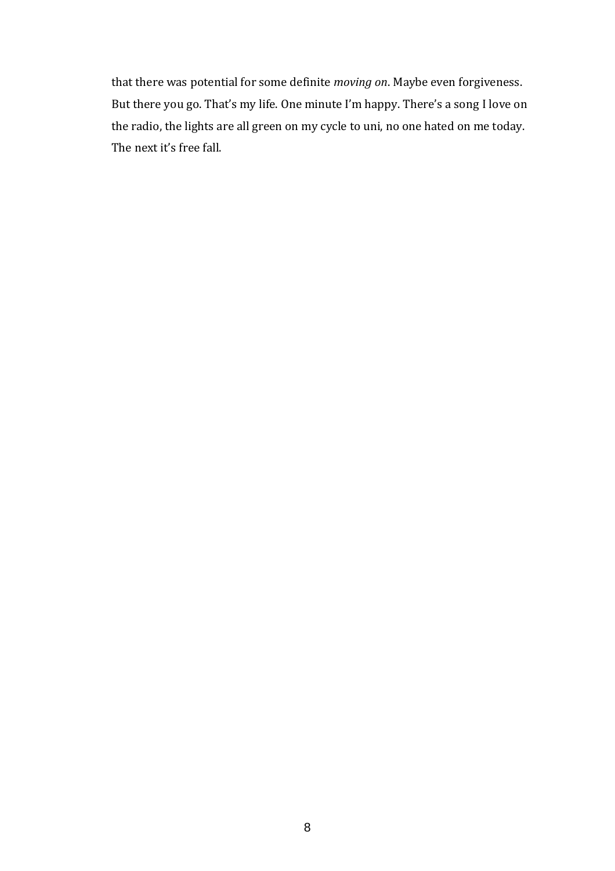that there was potential for some definite *moving on*. Maybe even forgiveness. But there you go. That's my life. One minute I'm happy. There's a song I love on the radio, the lights are all green on my cycle to uni, no one hated on me today. The next it's free fall.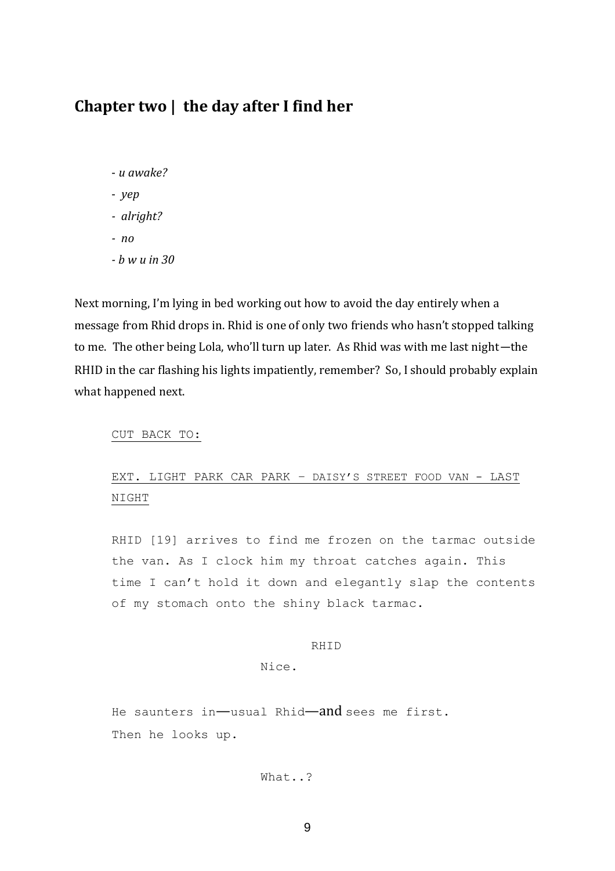## **Chapter two | the day after I find her**

- *u awake?*
- *yep*
- *alright?*
- *no*
- *- b w u in 30*

Next morning, I'm lying in bed working out how to avoid the day entirely when a message from Rhid drops in. Rhid is one of only two friends who hasn't stopped talking to me. The other being Lola, who'll turn up later. As Rhid was with me last night—the RHID in the car flashing his lights impatiently, remember? So, I should probably explain what happened next.

CUT BACK TO:

### EXT. LIGHT PARK CAR PARK – DAISY'S STREET FOOD VAN - LAST NIGHT

RHID [19] arrives to find me frozen on the tarmac outside the van. As I clock him my throat catches again. This time I can't hold it down and elegantly slap the contents of my stomach onto the shiny black tarmac.

### RHID

Nice.

He saunters in—usual Rhid—and sees me first. Then he looks up.

### What..?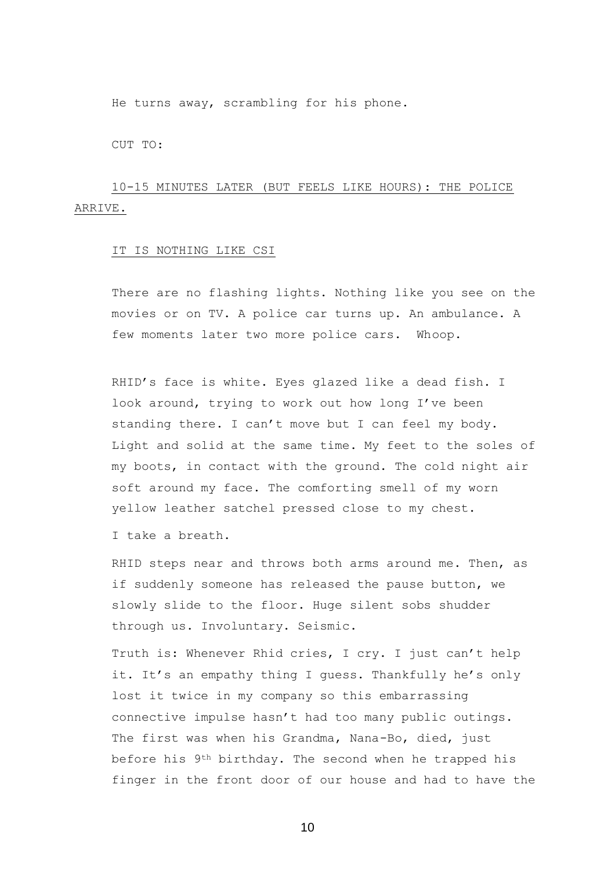He turns away, scrambling for his phone.

CUT TO:

### 10-15 MINUTES LATER (BUT FEELS LIKE HOURS): THE POLICE ARRIVE.

### IT IS NOTHING LIKE CSI

There are no flashing lights. Nothing like you see on the movies or on TV. A police car turns up. An ambulance. A few moments later two more police cars. Whoop.

RHID's face is white. Eyes glazed like a dead fish. I look around, trying to work out how long I've been standing there. I can't move but I can feel my body. Light and solid at the same time. My feet to the soles of my boots, in contact with the ground. The cold night air soft around my face. The comforting smell of my worn yellow leather satchel pressed close to my chest.

I take a breath.

RHID steps near and throws both arms around me. Then, as if suddenly someone has released the pause button, we slowly slide to the floor. Huge silent sobs shudder through us. Involuntary. Seismic.

Truth is: Whenever Rhid cries, I cry. I just can't help it. It's an empathy thing I guess. Thankfully he's only lost it twice in my company so this embarrassing connective impulse hasn't had too many public outings. The first was when his Grandma, Nana-Bo, died, just before his 9th birthday. The second when he trapped his finger in the front door of our house and had to have the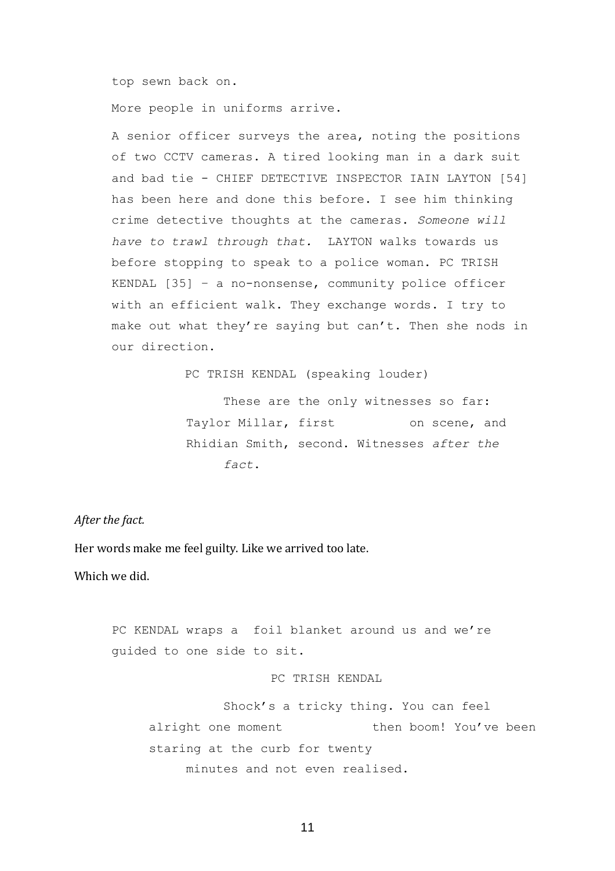top sewn back on.

More people in uniforms arrive.

A senior officer surveys the area, noting the positions of two CCTV cameras. A tired looking man in a dark suit and bad tie - CHIEF DETECTIVE INSPECTOR IAIN LAYTON [54] has been here and done this before. I see him thinking crime detective thoughts at the cameras. *Someone will have to trawl through that.* LAYTON walks towards us before stopping to speak to a police woman. PC TRISH KENDAL [35] – a no-nonsense, community police officer with an efficient walk. They exchange words. I try to make out what they're saying but can't. Then she nods in our direction.

PC TRISH KENDAL (speaking louder)

These are the only witnesses so far: Taylor Millar, first on scene, and Rhidian Smith, second. Witnesses *after the fact*.

*After the fact.* 

Her words make me feel guilty. Like we arrived too late.

Which we did.

PC KENDAL wraps a foil blanket around us and we're guided to one side to sit.

### PC TRISH KENDAL

Shock's a tricky thing. You can feel alright one moment then boom! You've been staring at the curb for twenty minutes and not even realised.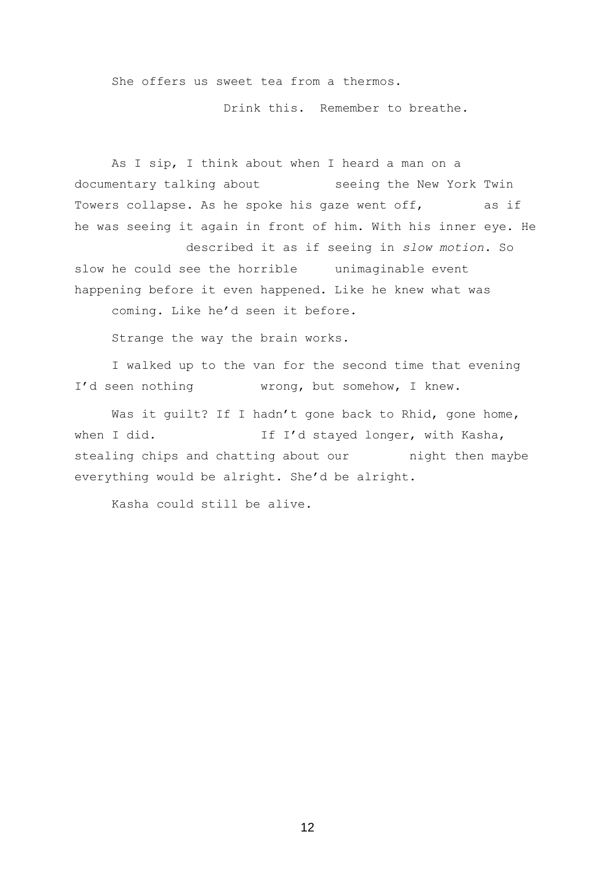She offers us sweet tea from a thermos.

Drink this. Remember to breathe.

As I sip, I think about when I heard a man on a documentary talking about seeing the New York Twin Towers collapse. As he spoke his gaze went off, as if he was seeing it again in front of him. With his inner eye. He

described it as if seeing in *slow motion*. So slow he could see the horrible unimaginable event happening before it even happened. Like he knew what was

coming. Like he'd seen it before.

Strange the way the brain works.

I walked up to the van for the second time that evening I'd seen nothing wrong, but somehow, I knew.

Was it quilt? If I hadn't gone back to Rhid, gone home, when I did. The Manager If I'd stayed longer, with Kasha, stealing chips and chatting about our hight then maybe everything would be alright. She'd be alright.

Kasha could still be alive.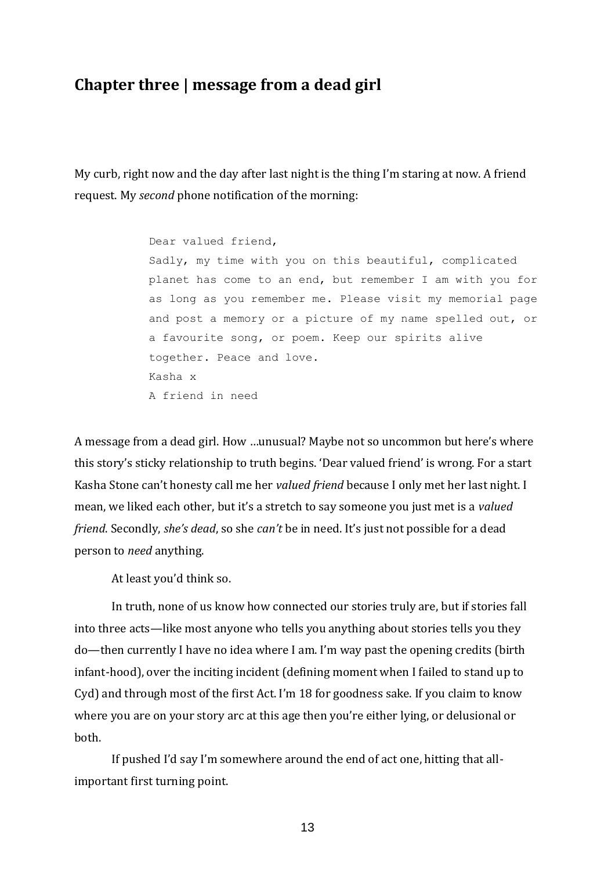# **Chapter three | message from a dead girl**

My curb, right now and the day after last night is the thing I'm staring at now. A friend request. My *second* phone notification of the morning:

> Dear valued friend, Sadly, my time with you on this beautiful, complicated planet has come to an end, but remember I am with you for as long as you remember me. Please visit my memorial page and post a memory or a picture of my name spelled out, or a favourite song, or poem. Keep our spirits alive together. Peace and love. Kasha x A friend in need

A message from a dead girl. How …unusual? Maybe not so uncommon but here's where this story's sticky relationship to truth begins. 'Dear valued friend' is wrong. For a start Kasha Stone can't honesty call me her *valued friend* because I only met her last night. I mean, we liked each other, but it's a stretch to say someone you just met is a *valued friend*. Secondly, *she's dead*, so she *can't* be in need. It's just not possible for a dead person to *need* anything.

At least you'd think so.

In truth, none of us know how connected our stories truly are, but if stories fall into three acts—like most anyone who tells you anything about stories tells you they do—then currently I have no idea where I am. I'm way past the opening credits (birth infant-hood), over the inciting incident (defining moment when I failed to stand up to Cyd) and through most of the first Act. I'm 18 for goodness sake. If you claim to know where you are on your story arc at this age then you're either lying, or delusional or both.

If pushed I'd say I'm somewhere around the end of act one, hitting that allimportant first turning point.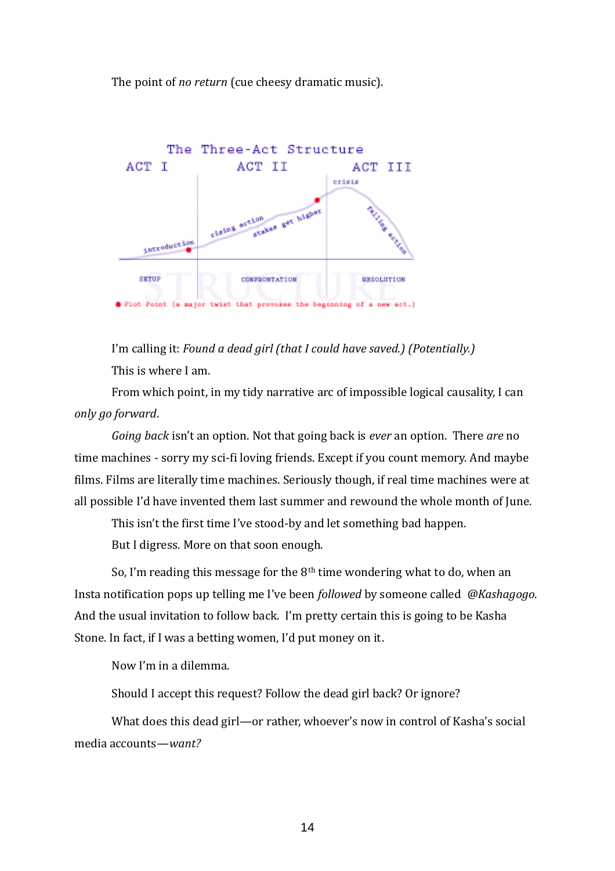The point of *no return* (cue cheesy dramatic music).



I'm calling it: *Found a dead girl (that I could have saved.) (Potentially.)* This is where I am.

From which point, in my tidy narrative arc of impossible logical causality, I can *only go forward*.

*Going back* isn't an option. Not that going back is *ever* an option. There *are* no time machines - sorry my sci-fi loving friends. Except if you count memory. And maybe films. Films are literally time machines. Seriously though, if real time machines were at all possible I'd have invented them last summer and rewound the whole month of June.

This isn't the first time I've stood-by and let something bad happen.

But I digress. More on that soon enough.

So, I'm reading this message for the  $8<sup>th</sup>$  time wondering what to do, when an Insta notification pops up telling me I've been *followed* by someone called *@Kashagogo*. And the usual invitation to follow back. I'm pretty certain this is going to be Kasha Stone. In fact, if I was a betting women, I'd put money on it.

Now I'm in a dilemma.

Should I accept this request? Follow the dead girl back? Or ignore?

What does this dead girl—or rather, whoever's now in control of Kasha's social media accounts—*want?*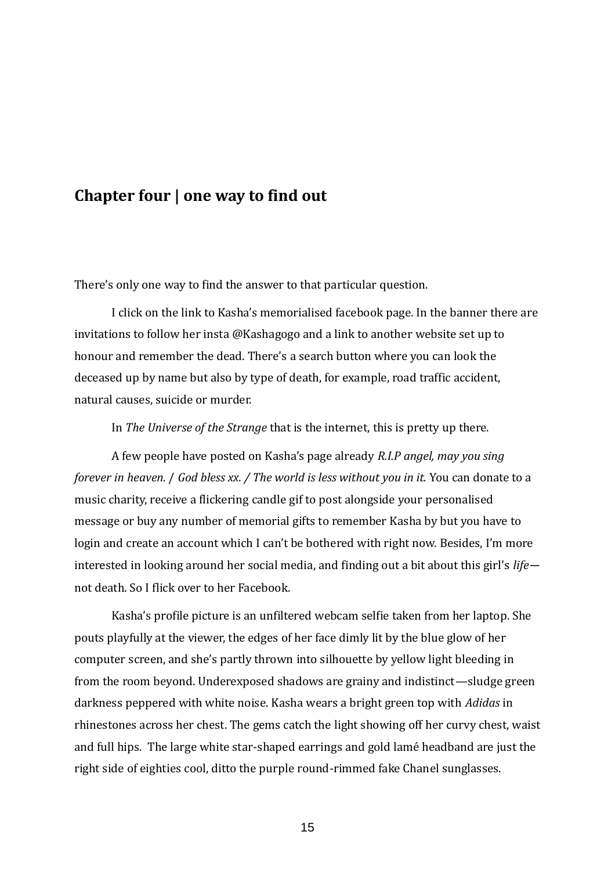### **Chapter four | one way to find out**

There's only one way to find the answer to that particular question.

I click on the link to Kasha's memorialised facebook page. In the banner there are invitations to follow her insta @Kashagogo and a link to another website set up to honour and remember the dead. There's a search button where you can look the deceased up by name but also by type of death, for example, road traffic accident, natural causes, suicide or murder.

In *The Universe of the Strange* that is the internet, this is pretty up there.

A few people have posted on Kasha's page already *R.I.P angel, may you sing forever in heaven.* / *God bless xx. / The world is less without you in it.* You can donate to a music charity, receive a flickering candle gif to post alongside your personalised message or buy any number of memorial gifts to remember Kasha by but you have to login and create an account which I can't be bothered with right now. Besides, I'm more interested in looking around her social media, and finding out a bit about this girl's *life* not death. So I flick over to her Facebook.

Kasha's profile picture is an unfiltered webcam selfie taken from her laptop. She pouts playfully at the viewer, the edges of her face dimly lit by the blue glow of her computer screen, and she's partly thrown into silhouette by yellow light bleeding in from the room beyond. Underexposed shadows are grainy and indistinct—sludge green darkness peppered with white noise. Kasha wears a bright green top with *Adidas* in rhinestones across her chest. The gems catch the light showing off her curvy chest, waist and full hips. The large white star-shaped earrings and gold lame headband are just the right side of eighties cool, ditto the purple round-rimmed fake Chanel sunglasses.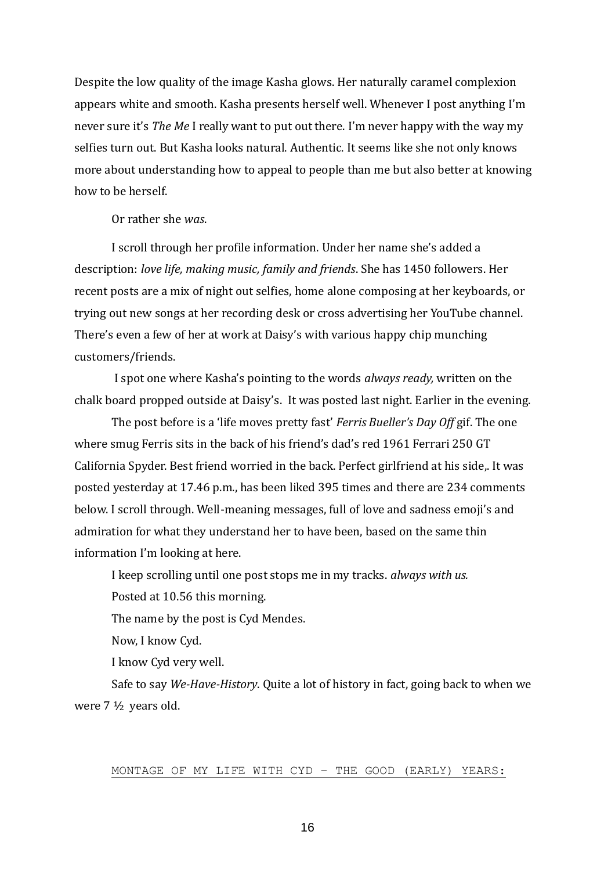Despite the low quality of the image Kasha glows. Her naturally caramel complexion appears white and smooth. Kasha presents herself well. Whenever I post anything I'm never sure it's *The Me* I really want to put out there. I'm never happy with the way my selfies turn out. But Kasha looks natural. Authentic. It seems like she not only knows more about understanding how to appeal to people than me but also better at knowing how to be herself.

Or rather she *was*.

I scroll through her profile information. Under her name she's added a description: *love life, making music, family and friends*. She has 1450 followers. Her recent posts are a mix of night out selfies, home alone composing at her keyboards, or trying out new songs at her recording desk or cross advertising her YouTube channel. There's even a few of her at work at Daisy's with various happy chip munching customers/friends.

I spot one where Kasha's pointing to the words *always ready,* written on the chalk board propped outside at Daisy's. It was posted last night. Earlier in the evening.

The post before is a 'life moves pretty fast' *Ferris Bueller's Day Off* gif. The one where smug Ferris sits in the back of his friend's dad's red 1961 Ferrari 250 GT California Spyder. Best friend worried in the back. Perfect girlfriend at his side,. It was posted yesterday at 17.46 p.m., has been liked 395 times and there are 234 comments below. I scroll through. Well-meaning messages, full of love and sadness emoji's and admiration for what they understand her to have been, based on the same thin information I'm looking at here.

I keep scrolling until one post stops me in my tracks. *always with us.*

Posted at 10.56 this morning.

The name by the post is Cyd Mendes.

Now, I know Cyd.

I know Cyd very well.

Safe to say *We-Have-History*. Quite a lot of history in fact, going back to when we were 7 ½ years old.

### MONTAGE OF MY LIFE WITH CYD – THE GOOD (EARLY) YEARS: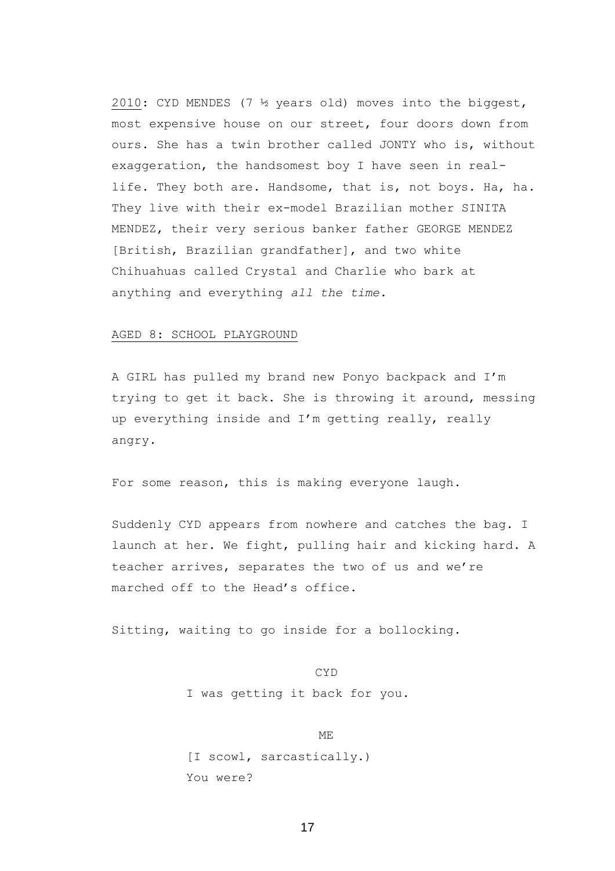2010: CYD MENDES (7 ½ years old) moves into the biggest, most expensive house on our street, four doors down from ours. She has a twin brother called JONTY who is, without exaggeration, the handsomest boy I have seen in reallife. They both are. Handsome, that is, not boys. Ha, ha. They live with their ex-model Brazilian mother SINITA MENDEZ, their very serious banker father GEORGE MENDEZ [British, Brazilian grandfather], and two white Chihuahuas called Crystal and Charlie who bark at anything and everything *all the time*.

### AGED 8: SCHOOL PLAYGROUND

A GIRL has pulled my brand new Ponyo backpack and I'm trying to get it back. She is throwing it around, messing up everything inside and I'm getting really, really angry.

For some reason, this is making everyone laugh.

Suddenly CYD appears from nowhere and catches the bag. I launch at her. We fight, pulling hair and kicking hard. A teacher arrives, separates the two of us and we're marched off to the Head's office.

Sitting, waiting to go inside for a bollocking.

CYD I was getting it back for you.

ME [I scowl, sarcastically.) You were?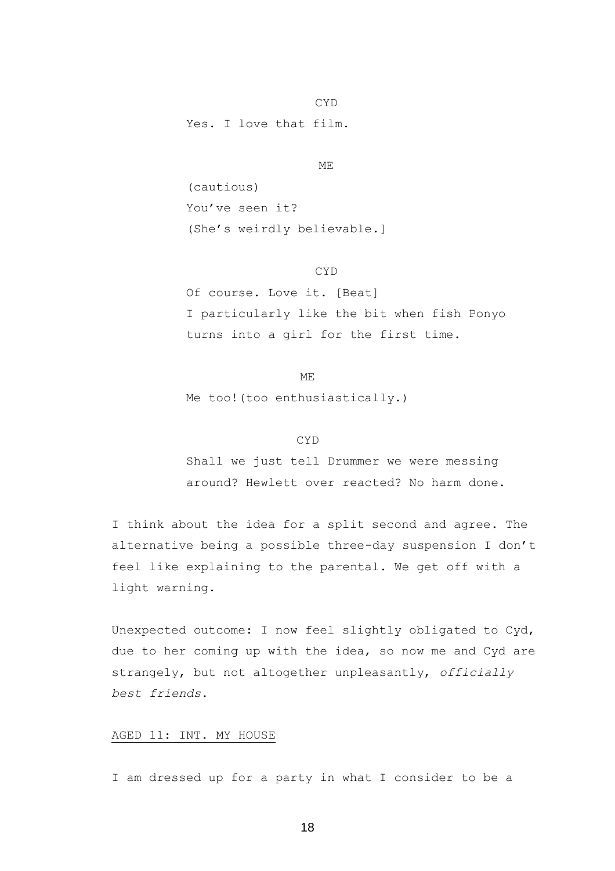Yes. I love that film.

ME

CYD

(cautious) You've seen it? (She's weirdly believable.]

CYD

Of course. Love it. [Beat] I particularly like the bit when fish Ponyo turns into a girl for the first time.

Me too!(too enthusiastically.)

ME

### CYD

Shall we just tell Drummer we were messing around? Hewlett over reacted? No harm done.

I think about the idea for a split second and agree. The alternative being a possible three-day suspension I don't feel like explaining to the parental. We get off with a light warning.

Unexpected outcome: I now feel slightly obligated to Cyd, due to her coming up with the idea, so now me and Cyd are strangely, but not altogether unpleasantly, *officially best friends*.

### AGED 11: INT. MY HOUSE

I am dressed up for a party in what I consider to be a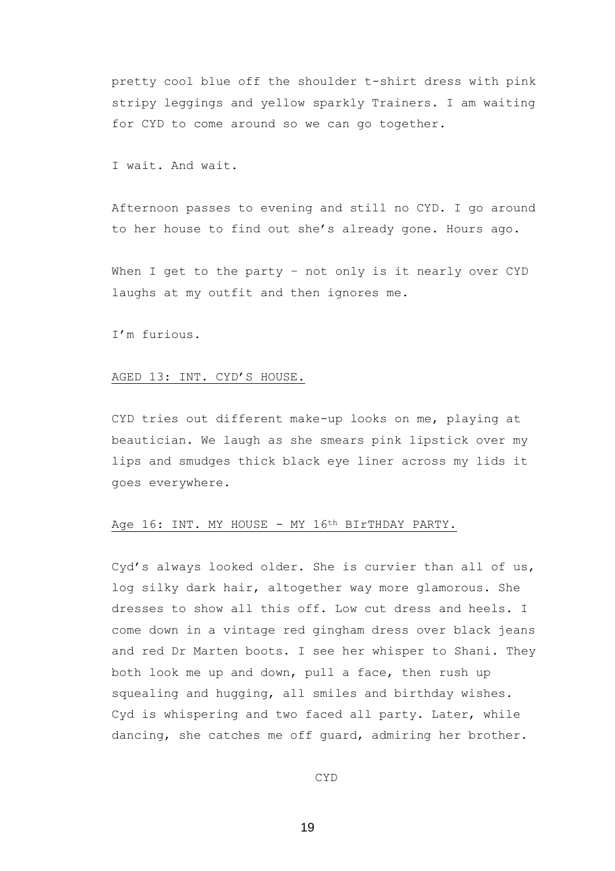pretty cool blue off the shoulder t-shirt dress with pink stripy leggings and yellow sparkly Trainers. I am waiting for CYD to come around so we can go together.

I wait. And wait.

Afternoon passes to evening and still no CYD. I go around to her house to find out she's already gone. Hours ago.

When I get to the party - not only is it nearly over CYD laughs at my outfit and then ignores me.

I'm furious.

#### AGED 13: INT. CYD'S HOUSE.

CYD tries out different make-up looks on me, playing at beautician. We laugh as she smears pink lipstick over my lips and smudges thick black eye liner across my lids it goes everywhere.

### Age 16: INT. MY HOUSE - MY 16th BIrTHDAY PARTY.

Cyd's always looked older. She is curvier than all of us, log silky dark hair, altogether way more glamorous. She dresses to show all this off. Low cut dress and heels. I come down in a vintage red gingham dress over black jeans and red Dr Marten boots. I see her whisper to Shani. They both look me up and down, pull a face, then rush up squealing and hugging, all smiles and birthday wishes. Cyd is whispering and two faced all party. Later, while dancing, she catches me off guard, admiring her brother.

CYD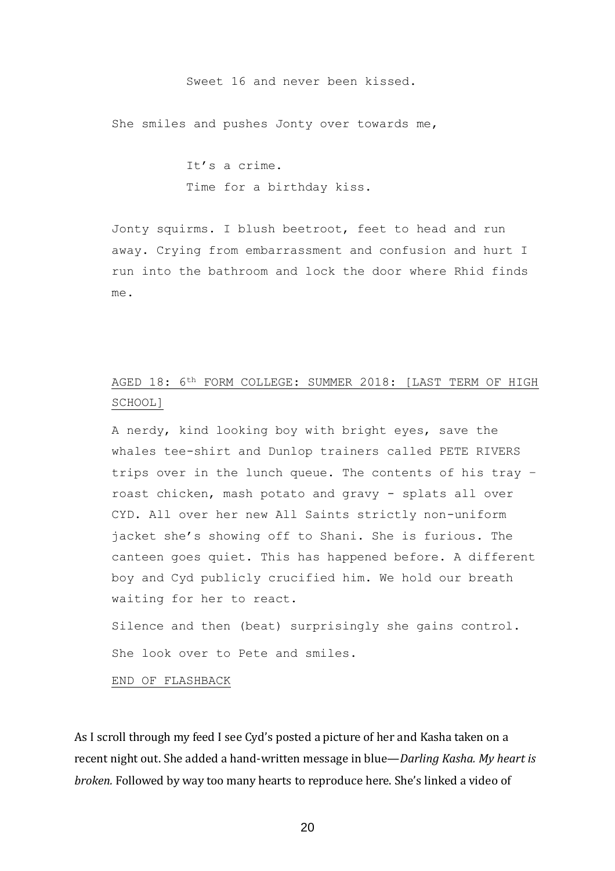#### Sweet 16 and never been kissed.

She smiles and pushes Jonty over towards me,

It's a crime. Time for a birthday kiss.

Jonty squirms. I blush beetroot, feet to head and run away. Crying from embarrassment and confusion and hurt I run into the bathroom and lock the door where Rhid finds me.

### AGED 18: 6th FORM COLLEGE: SUMMER 2018: [LAST TERM OF HIGH SCHOOL]

A nerdy, kind looking boy with bright eyes, save the whales tee-shirt and Dunlop trainers called PETE RIVERS trips over in the lunch queue. The contents of his tray – roast chicken, mash potato and gravy - splats all over CYD. All over her new All Saints strictly non-uniform jacket she's showing off to Shani. She is furious. The canteen goes quiet. This has happened before. A different boy and Cyd publicly crucified him. We hold our breath waiting for her to react.

Silence and then (beat) surprisingly she gains control. She look over to Pete and smiles.

END OF FLASHBACK

As I scroll through my feed I see Cyd's posted a picture of her and Kasha taken on a recent night out. She added a hand-written message in blue—*Darling Kasha. My heart is broken.* Followed by way too many hearts to reproduce here. She's linked a video of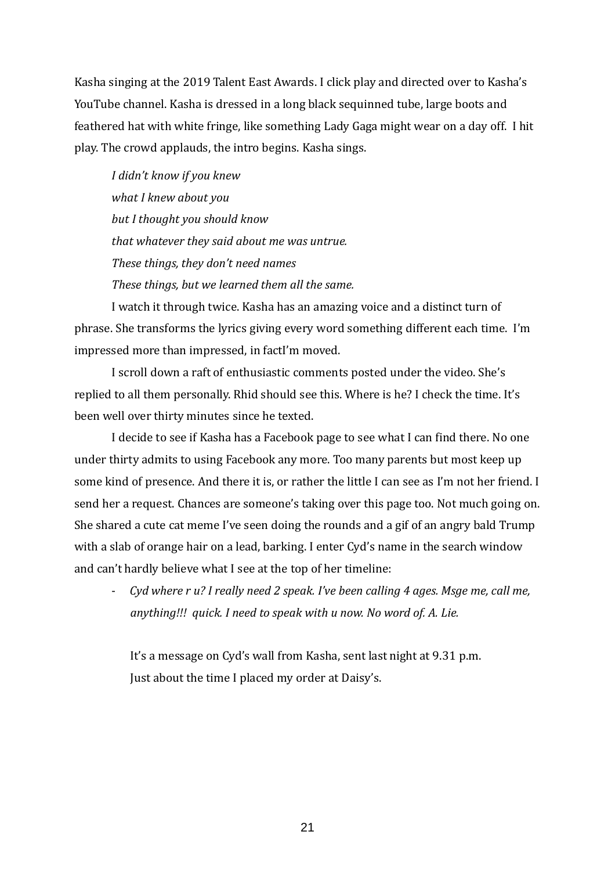Kasha singing at the 2019 Talent East Awards. I click play and directed over to Kasha's YouTube channel. Kasha is dressed in a long black sequinned tube, large boots and feathered hat with white fringe, like something Lady Gaga might wear on a day off. I hit play. The crowd applauds, the intro begins. Kasha sings.

*I didn't know if you knew what I knew about you but I thought you should know that whatever they said about me was untrue. These things, they don't need names These things, but we learned them all the same.*

I watch it through twice. Kasha has an amazing voice and a distinct turn of phrase. She transforms the lyrics giving every word something different each time. I'm impressed more than impressed, in factI'm moved.

I scroll down a raft of enthusiastic comments posted under the video. She's replied to all them personally. Rhid should see this. Where is he? I check the time. It's been well over thirty minutes since he texted.

I decide to see if Kasha has a Facebook page to see what I can find there. No one under thirty admits to using Facebook any more. Too many parents but most keep up some kind of presence. And there it is, or rather the little I can see as I'm not her friend. I send her a request. Chances are someone's taking over this page too. Not much going on. She shared a cute cat meme I've seen doing the rounds and a gif of an angry bald Trump with a slab of orange hair on a lead, barking. I enter Cyd's name in the search window and can't hardly believe what I see at the top of her timeline:

- *Cyd where r u? I really need 2 speak. I've been calling 4 ages. Msge me, call me, anything!!! quick. I need to speak with u now. No word of. A. Lie.*

It's a message on Cyd's wall from Kasha, sent last night at 9.31 p.m. Just about the time I placed my order at Daisy's.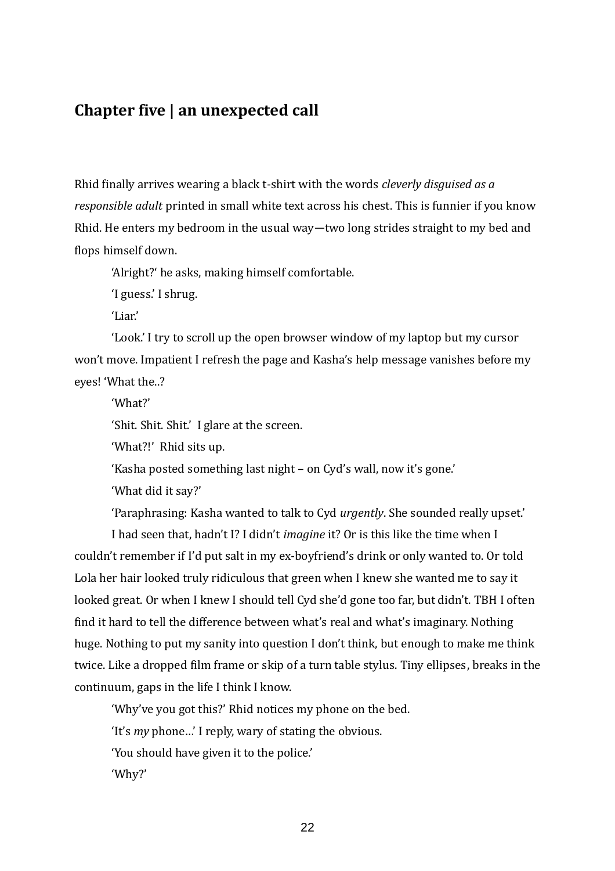## **Chapter five | an unexpected call**

Rhid finally arrives wearing a black t-shirt with the words *cleverly disguised as a responsible adult* printed in small white text across his chest. This is funnier if you know Rhid. He enters my bedroom in the usual way—two long strides straight to my bed and flops himself down.

'Alright?' he asks, making himself comfortable.

'I guess.' I shrug.

'Liar.'

'Look.' I try to scroll up the open browser window of my laptop but my cursor won't move. Impatient I refresh the page and Kasha's help message vanishes before my eyes! 'What the..?

'What?'

'Shit. Shit. Shit.' I glare at the screen.

'What?!' Rhid sits up.

'Kasha posted something last night – on Cyd's wall, now it's gone.'

'What did it say?'

'Paraphrasing: Kasha wanted to talk to Cyd *urgently*. She sounded really upset.'

I had seen that, hadn't I? I didn't *imagine* it? Or is this like the time when I couldn't remember if I'd put salt in my ex-boyfriend's drink or only wanted to. Or told Lola her hair looked truly ridiculous that green when I knew she wanted me to say it looked great. Or when I knew I should tell Cyd she'd gone too far, but didn't. TBH I often find it hard to tell the difference between what's real and what's imaginary. Nothing huge. Nothing to put my sanity into question I don't think, but enough to make me think twice. Like a dropped film frame or skip of a turn table stylus. Tiny ellipses, breaks in the continuum, gaps in the life I think I know.

'Why've you got this?' Rhid notices my phone on the bed.

'It's *my* phone…' I reply, wary of stating the obvious.

'You should have given it to the police.'

'Why?'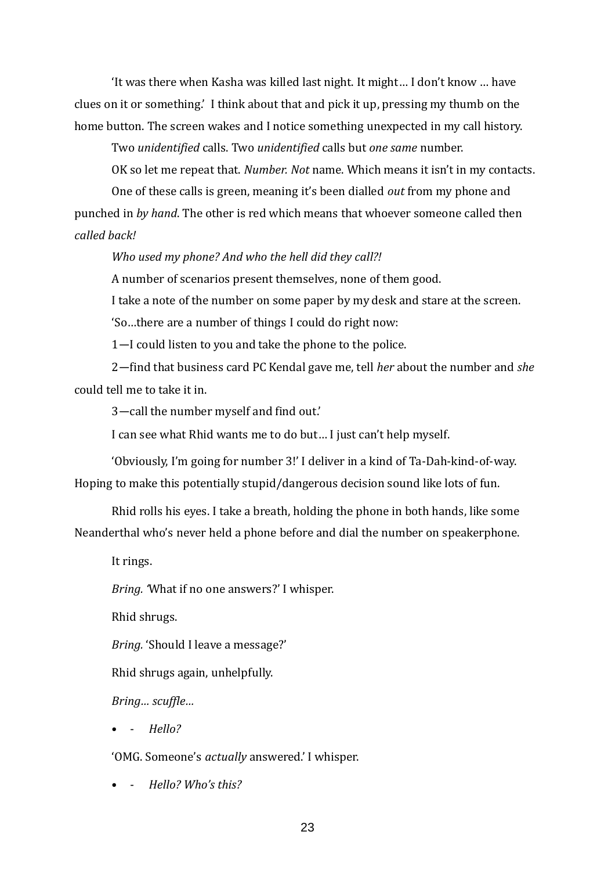'It was there when Kasha was killed last night. It might… I don't know … have clues on it or something.' I think about that and pick it up, pressing my thumb on the home button. The screen wakes and I notice something unexpected in my call history.

Two *unidentified* calls. Two *unidentified* calls but *one same* number.

OK so let me repeat that. *Number. Not* name. Which means it isn't in my contacts.

One of these calls is green, meaning it's been dialled *out* from my phone and punched in *by hand*. The other is red which means that whoever someone called then *called back!* 

*Who used my phone? And who the hell did they call?!* 

A number of scenarios present themselves, none of them good.

I take a note of the number on some paper by my desk and stare at the screen.

'So…there are a number of things I could do right now:

1—I could listen to you and take the phone to the police.

2—find that business card PC Kendal gave me, tell *her* about the number and *she* could tell me to take it in.

3—call the number myself and find out.'

I can see what Rhid wants me to do but… I just can't help myself.

'Obviously, I'm going for number 3!' I deliver in a kind of Ta-Dah-kind-of-way. Hoping to make this potentially stupid/dangerous decision sound like lots of fun.

Rhid rolls his eyes. I take a breath, holding the phone in both hands, like some Neanderthal who's never held a phone before and dial the number on speakerphone.

It rings.

*Bring. '*What if no one answers?' I whisper.

Rhid shrugs.

*Bring.* 'Should I leave a message?'

Rhid shrugs again, unhelpfully.

*Bring… scuffle…*

• - *Hello?* 

'OMG. Someone's *actually* answered.' I whisper.

• - *Hello? Who's this?*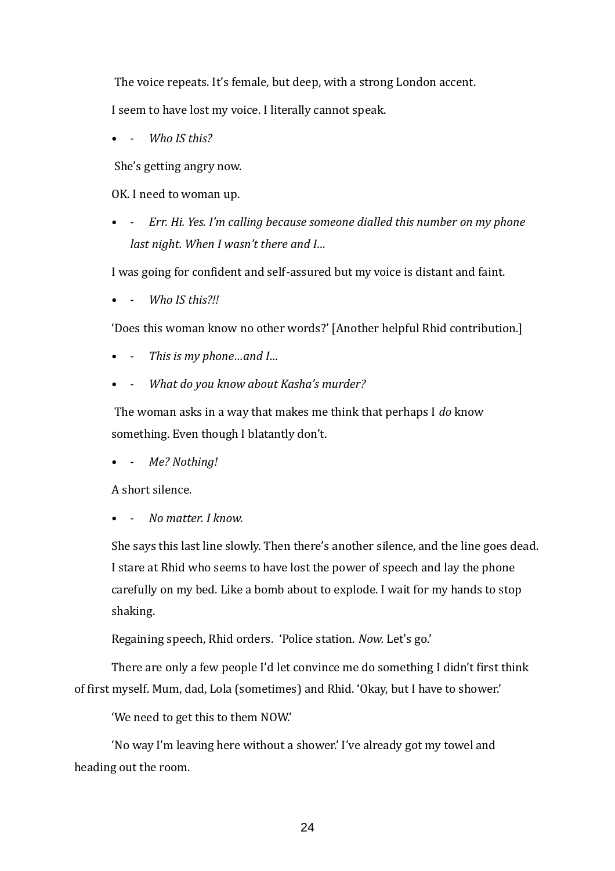The voice repeats. It's female, but deep, with a strong London accent.

I seem to have lost my voice. I literally cannot speak.

Who IS this?

She's getting angry now.

OK. I need to woman up.

• - *Err. Hi. Yes. I'm calling because someone dialled this number on my phone last night. When I wasn't there and I…*

I was going for confident and self-assured but my voice is distant and faint.

• - *Who IS this?!!*

'Does this woman know no other words?' [Another helpful Rhid contribution.]

- - *This is my phone…and I…*
- - *What do you know about Kasha's murder?*

The woman asks in a way that makes me think that perhaps I *do* know something. Even though I blatantly don't.

• - *Me? Nothing!*

A short silence.

• - *No matter. I know.*

She says this last line slowly. Then there's another silence, and the line goes dead. I stare at Rhid who seems to have lost the power of speech and lay the phone carefully on my bed. Like a bomb about to explode. I wait for my hands to stop shaking.

Regaining speech, Rhid orders. 'Police station. *Now.* Let's go.'

There are only a few people I'd let convince me do something I didn't first think of first myself. Mum, dad, Lola (sometimes) and Rhid. 'Okay, but I have to shower.'

'We need to get this to them NOW.'

'No way I'm leaving here without a shower.' I've already got my towel and heading out the room.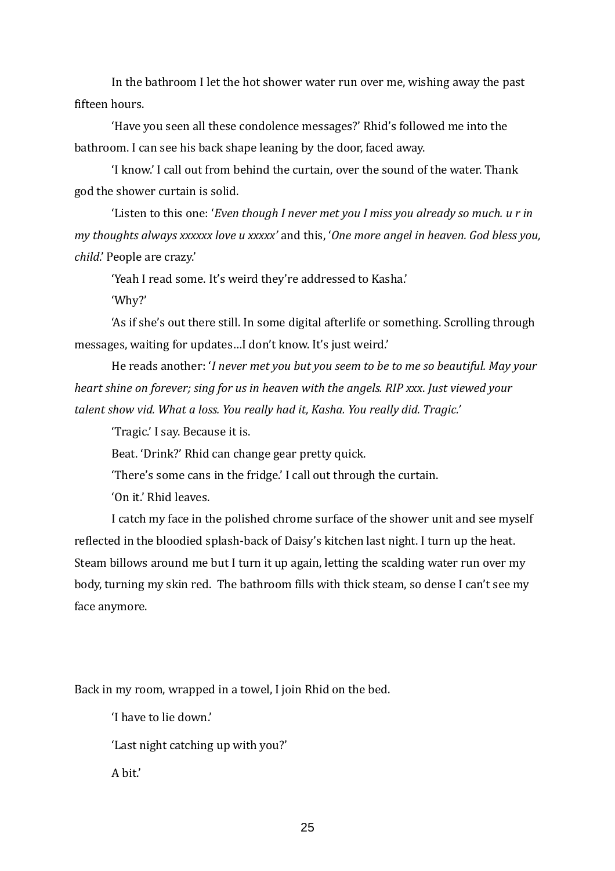In the bathroom I let the hot shower water run over me, wishing away the past fifteen hours.

'Have you seen all these condolence messages?' Rhid's followed me into the bathroom. I can see his back shape leaning by the door, faced away.

'I know.' I call out from behind the curtain, over the sound of the water. Thank god the shower curtain is solid.

'Listen to this one: '*Even though I never met you I miss you already so much. u r in my thoughts always xxxxxx love u xxxxx'* and this, '*One more angel in heaven. God bless you, child*.' People are crazy.'

'Yeah I read some. It's weird they're addressed to Kasha.'

'Why?'

'As if she's out there still. In some digital afterlife or something. Scrolling through messages, waiting for updates…I don't know. It's just weird.'

He reads another: '*I never met you but you seem to be to me so beautiful. May your heart shine on forever; sing for us in heaven with the angels. RIP xxx*. *Just viewed your talent show vid. What a loss. You really had it, Kasha. You really did. Tragic.'* 

'Tragic.' I say. Because it is.

Beat. 'Drink?' Rhid can change gear pretty quick.

'There's some cans in the fridge.' I call out through the curtain.

'On it.' Rhid leaves.

I catch my face in the polished chrome surface of the shower unit and see myself reflected in the bloodied splash-back of Daisy's kitchen last night. I turn up the heat. Steam billows around me but I turn it up again, letting the scalding water run over my body, turning my skin red. The bathroom fills with thick steam, so dense I can't see my face anymore.

Back in my room, wrapped in a towel, I join Rhid on the bed.

'I have to lie down.'

'Last night catching up with you?'

A bit.'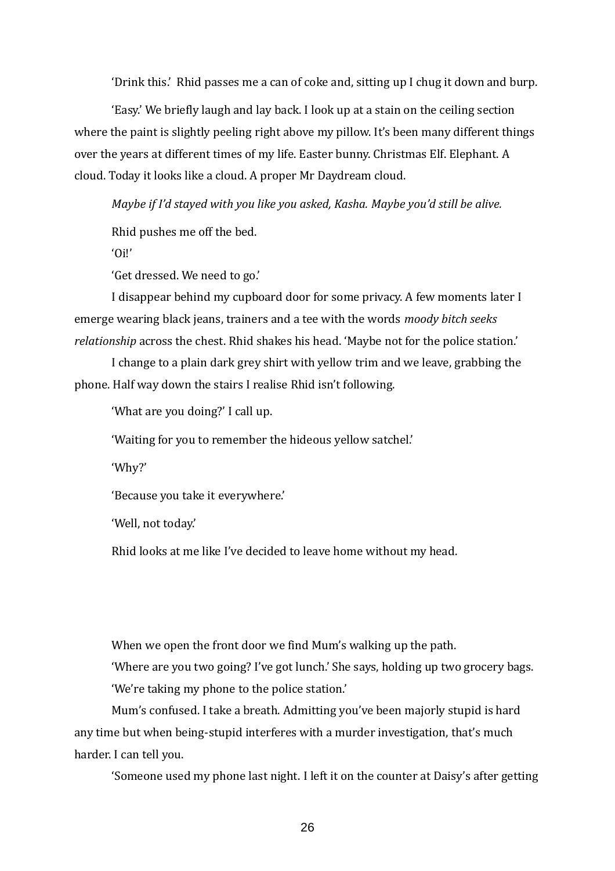'Drink this.' Rhid passes me a can of coke and, sitting up I chug it down and burp.

'Easy.' We briefly laugh and lay back. I look up at a stain on the ceiling section where the paint is slightly peeling right above my pillow. It's been many different things over the years at different times of my life. Easter bunny. Christmas Elf. Elephant. A cloud. Today it looks like a cloud. A proper Mr Daydream cloud.

*Maybe if I'd stayed with you like you asked, Kasha. Maybe you'd still be alive.*

Rhid pushes me off the bed.

'Oi!'

'Get dressed. We need to go.'

I disappear behind my cupboard door for some privacy. A few moments later I emerge wearing black jeans, trainers and a tee with the words *moody bitch seeks relationship* across the chest. Rhid shakes his head. 'Maybe not for the police station.'

I change to a plain dark grey shirt with yellow trim and we leave, grabbing the phone. Half way down the stairs I realise Rhid isn't following.

'What are you doing?' I call up.

'Waiting for you to remember the hideous yellow satchel.'

'Why?'

'Because you take it everywhere.'

'Well, not today.'

Rhid looks at me like I've decided to leave home without my head.

When we open the front door we find Mum's walking up the path.

'Where are you two going? I've got lunch.' She says, holding up two grocery bags. 'We're taking my phone to the police station.'

Mum's confused. I take a breath. Admitting you've been majorly stupid is hard any time but when being-stupid interferes with a murder investigation, that's much harder. I can tell you.

'Someone used my phone last night. I left it on the counter at Daisy's after getting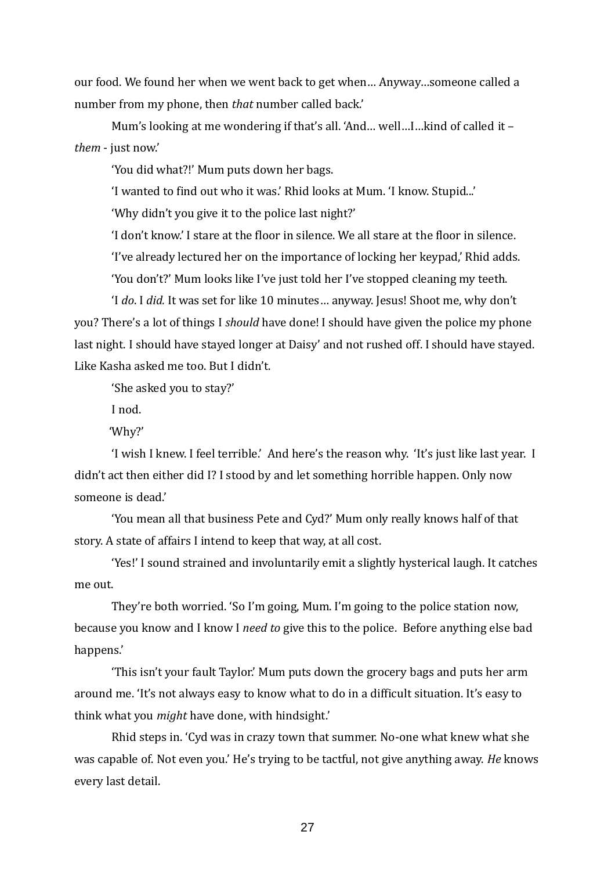our food. We found her when we went back to get when… Anyway…someone called a number from my phone, then *that* number called back.'

Mum's looking at me wondering if that's all. 'And… well…I…kind of called it – *them* - just now.'

'You did what?!' Mum puts down her bags.

'I wanted to find out who it was.' Rhid looks at Mum. 'I know. Stupid...'

'Why didn't you give it to the police last night?'

'I don't know.' I stare at the floor in silence. We all stare at the floor in silence.

'I've already lectured her on the importance of locking her keypad,' Rhid adds.

'You don't?' Mum looks like I've just told her I've stopped cleaning my teeth.

'I *do*. I *did.* It was set for like 10 minutes… anyway. Jesus! Shoot me, why don't you? There's a lot of things I *should* have done! I should have given the police my phone last night. I should have stayed longer at Daisy' and not rushed off. I should have stayed. Like Kasha asked me too. But I didn't.

'She asked you to stay?'

I nod.

'Why?'

'I wish I knew. I feel terrible.' And here's the reason why. 'It's just like last year. I didn't act then either did I? I stood by and let something horrible happen. Only now someone is dead.'

'You mean all that business Pete and Cyd?' Mum only really knows half of that story. A state of affairs I intend to keep that way, at all cost.

'Yes!' I sound strained and involuntarily emit a slightly hysterical laugh. It catches me out.

They're both worried. 'So I'm going, Mum. I'm going to the police station now, because you know and I know I *need to* give this to the police. Before anything else bad happens.'

'This isn't your fault Taylor.' Mum puts down the grocery bags and puts her arm around me. 'It's not always easy to know what to do in a difficult situation. It's easy to think what you *might* have done, with hindsight.'

Rhid steps in. 'Cyd was in crazy town that summer. No-one what knew what she was capable of. Not even you.' He's trying to be tactful, not give anything away. *He* knows every last detail.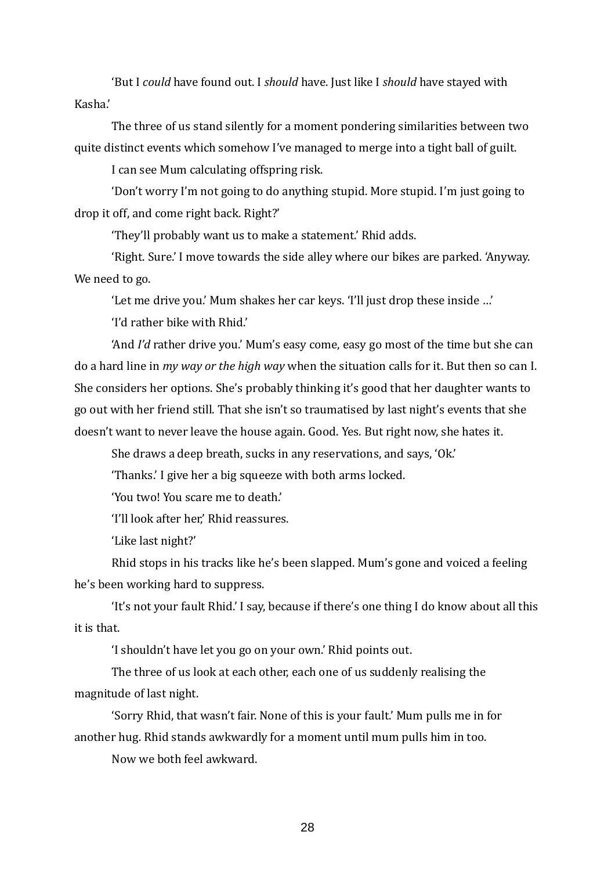'But I *could* have found out. I *should* have. Just like I *should* have stayed with Kasha.'

The three of us stand silently for a moment pondering similarities between two quite distinct events which somehow I've managed to merge into a tight ball of guilt.

I can see Mum calculating offspring risk.

'Don't worry I'm not going to do anything stupid. More stupid. I'm just going to drop it off, and come right back. Right?'

'They'll probably want us to make a statement.' Rhid adds.

'Right. Sure.' I move towards the side alley where our bikes are parked. 'Anyway. We need to go.

'Let me drive you.' Mum shakes her car keys. 'I'll just drop these inside …'

'I'd rather bike with Rhid.'

'And *I'd* rather drive you.' Mum's easy come, easy go most of the time but she can do a hard line in *my way or the high way* when the situation calls for it. But then so can I. She considers her options. She's probably thinking it's good that her daughter wants to go out with her friend still. That she isn't so traumatised by last night's events that she doesn't want to never leave the house again. Good. Yes. But right now, she hates it.

She draws a deep breath, sucks in any reservations, and says, 'Ok.'

'Thanks.' I give her a big squeeze with both arms locked.

'You two! You scare me to death.'

'I'll look after her,' Rhid reassures.

'Like last night?'

Rhid stops in his tracks like he's been slapped. Mum's gone and voiced a feeling he's been working hard to suppress.

'It's not your fault Rhid.' I say, because if there's one thing I do know about all this it is that.

'I shouldn't have let you go on your own.' Rhid points out.

The three of us look at each other, each one of us suddenly realising the magnitude of last night.

'Sorry Rhid, that wasn't fair. None of this is your fault.' Mum pulls me in for another hug. Rhid stands awkwardly for a moment until mum pulls him in too.

Now we both feel awkward.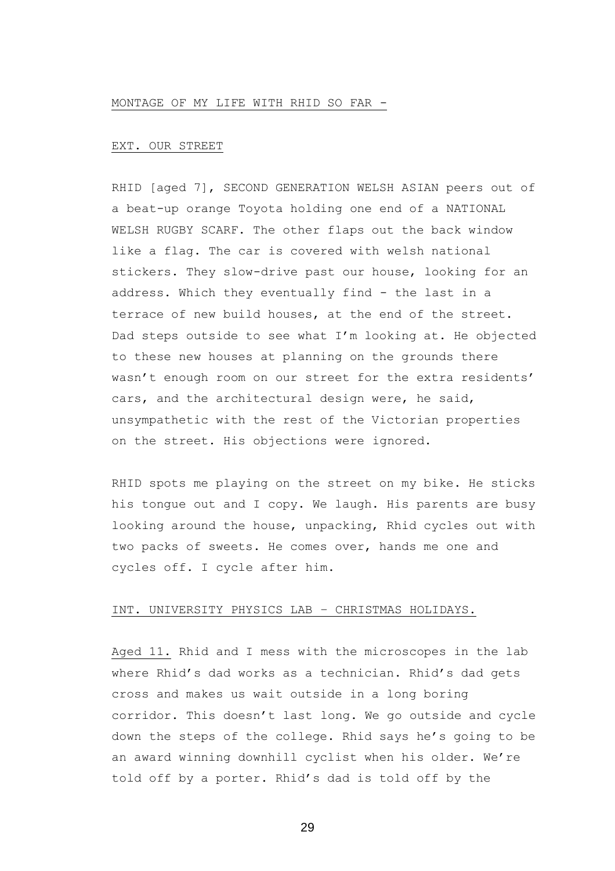### MONTAGE OF MY LIFE WITH RHID SO FAR -

### EXT. OUR STREET

RHID [aged 7], SECOND GENERATION WELSH ASIAN peers out of a beat-up orange Toyota holding one end of a NATIONAL WELSH RUGBY SCARF. The other flaps out the back window like a flag. The car is covered with welsh national stickers. They slow-drive past our house, looking for an address. Which they eventually find - the last in a terrace of new build houses, at the end of the street. Dad steps outside to see what I'm looking at. He objected to these new houses at planning on the grounds there wasn't enough room on our street for the extra residents' cars, and the architectural design were, he said, unsympathetic with the rest of the Victorian properties on the street. His objections were ignored.

RHID spots me playing on the street on my bike. He sticks his tongue out and I copy. We laugh. His parents are busy looking around the house, unpacking, Rhid cycles out with two packs of sweets. He comes over, hands me one and cycles off. I cycle after him.

### INT. UNIVERSITY PHYSICS LAB – CHRISTMAS HOLIDAYS.

Aged 11. Rhid and I mess with the microscopes in the lab where Rhid's dad works as a technician. Rhid's dad gets cross and makes us wait outside in a long boring corridor. This doesn't last long. We go outside and cycle down the steps of the college. Rhid says he's going to be an award winning downhill cyclist when his older. We're told off by a porter. Rhid's dad is told off by the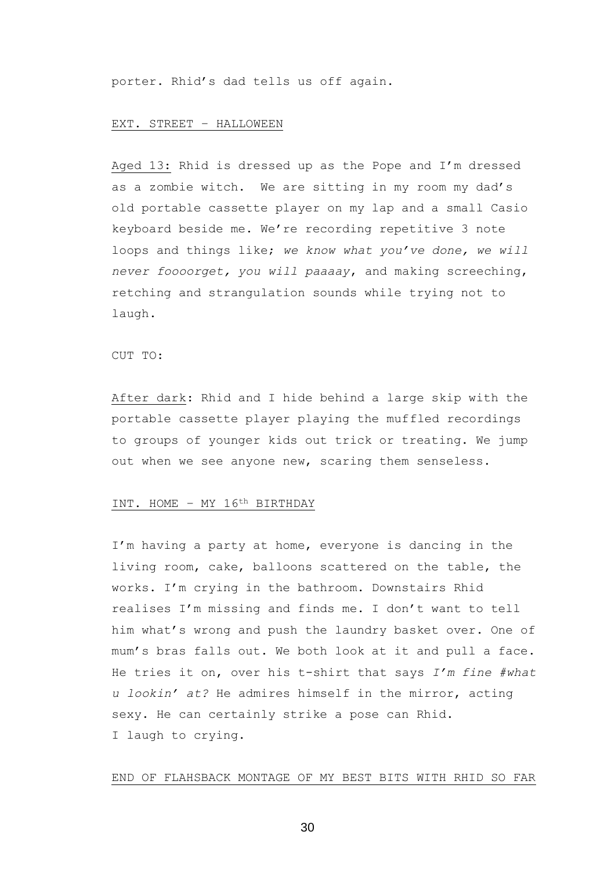porter. Rhid's dad tells us off again.

#### EXT. STREET – HALLOWEEN

Aged 13: Rhid is dressed up as the Pope and I'm dressed as a zombie witch. We are sitting in my room my dad's old portable cassette player on my lap and a small Casio keyboard beside me. We're recording repetitive 3 note loops and things like; *we know what you've done, we will never foooorget, you will paaaay*, and making screeching, retching and strangulation sounds while trying not to laugh.

#### CUT TO:

After dark: Rhid and I hide behind a large skip with the portable cassette player playing the muffled recordings to groups of younger kids out trick or treating. We jump out when we see anyone new, scaring them senseless.

### INT. HOME – MY 16th BIRTHDAY

I'm having a party at home, everyone is dancing in the living room, cake, balloons scattered on the table, the works. I'm crying in the bathroom. Downstairs Rhid realises I'm missing and finds me. I don't want to tell him what's wrong and push the laundry basket over. One of mum's bras falls out. We both look at it and pull a face. He tries it on, over his t-shirt that says *I'm fine #what u lookin' at?* He admires himself in the mirror, acting sexy. He can certainly strike a pose can Rhid. I laugh to crying.

### END OF FLAHSBACK MONTAGE OF MY BEST BITS WITH RHID SO FAR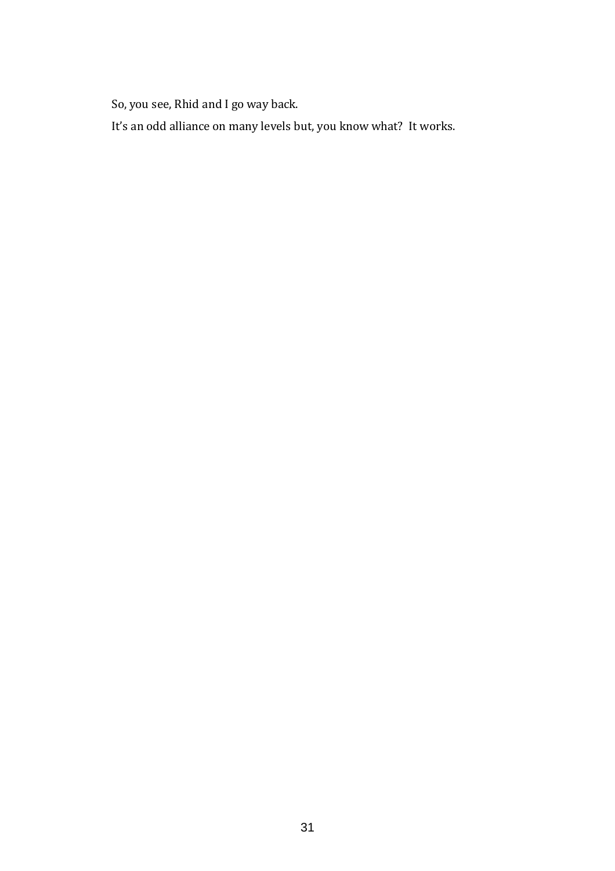So, you see, Rhid and I go way back.

It's an odd alliance on many levels but, you know what? It works.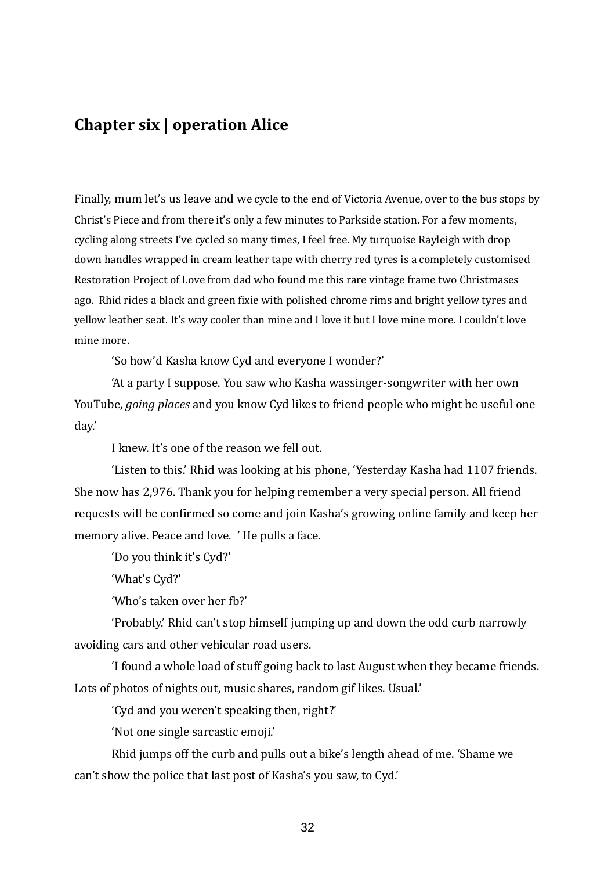# **Chapter six | operation Alice**

Finally, mum let's us leave and we cycle to the end of Victoria Avenue, over to the bus stops by Christ's Piece and from there it's only a few minutes to Parkside station. For a few moments, cycling along streets I've cycled so many times, I feel free. My turquoise Rayleigh with drop down handles wrapped in cream leather tape with cherry red tyres is a completely customised Restoration Project of Love from dad who found me this rare vintage frame two Christmases ago. Rhid rides a black and green fixie with polished chrome rims and bright yellow tyres and yellow leather seat. It's way cooler than mine and I love it but I love mine more. I couldn't love mine more.

'So how'd Kasha know Cyd and everyone I wonder?'

'At a party I suppose. You saw who Kasha wassinger-songwriter with her own YouTube, *going places* and you know Cyd likes to friend people who might be useful one day.'

I knew. It's one of the reason we fell out.

'Listen to this.' Rhid was looking at his phone, 'Yesterday Kasha had 1107 friends. She now has 2,976. Thank you for helping remember a very special person. All friend requests will be confirmed so come and join Kasha's growing online family and keep her memory alive. Peace and love. ' He pulls a face.

'Do you think it's Cyd?'

'What's Cyd?'

'Who's taken over her fb?'

'Probably.' Rhid can't stop himself jumping up and down the odd curb narrowly avoiding cars and other vehicular road users.

'I found a whole load of stuff going back to last August when they became friends. Lots of photos of nights out, music shares, random gif likes. Usual.'

'Cyd and you weren't speaking then, right?'

'Not one single sarcastic emoji.'

Rhid jumps off the curb and pulls out a bike's length ahead of me. 'Shame we can't show the police that last post of Kasha's you saw, to Cyd.'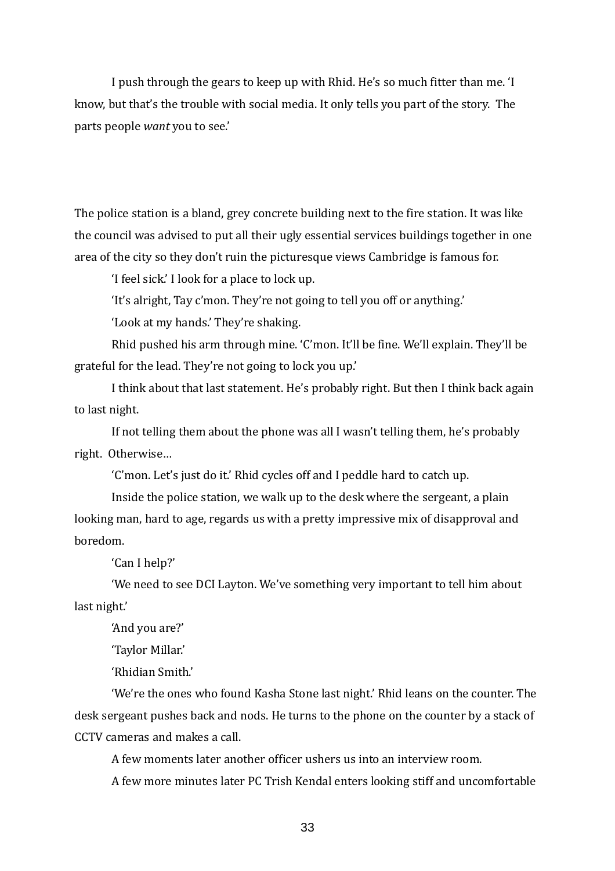I push through the gears to keep up with Rhid. He's so much fitter than me. 'I know, but that's the trouble with social media. It only tells you part of the story. The parts people *want* you to see.'

The police station is a bland, grey concrete building next to the fire station. It was like the council was advised to put all their ugly essential services buildings together in one area of the city so they don't ruin the picturesque views Cambridge is famous for.

'I feel sick.' I look for a place to lock up.

'It's alright, Tay c'mon. They're not going to tell you off or anything.'

'Look at my hands.' They're shaking.

Rhid pushed his arm through mine. 'C'mon. It'll be fine. We'll explain. They'll be grateful for the lead. They're not going to lock you up.'

I think about that last statement. He's probably right. But then I think back again to last night.

If not telling them about the phone was all I wasn't telling them, he's probably right. Otherwise…

'C'mon. Let's just do it.' Rhid cycles off and I peddle hard to catch up.

Inside the police station, we walk up to the desk where the sergeant, a plain looking man, hard to age, regards us with a pretty impressive mix of disapproval and boredom.

'Can I help?'

'We need to see DCI Layton. We've something very important to tell him about last night.'

'And you are?'

'Taylor Millar.'

'Rhidian Smith.'

'We're the ones who found Kasha Stone last night.' Rhid leans on the counter. The desk sergeant pushes back and nods. He turns to the phone on the counter by a stack of CCTV cameras and makes a call.

A few moments later another officer ushers us into an interview room.

A few more minutes later PC Trish Kendal enters looking stiff and uncomfortable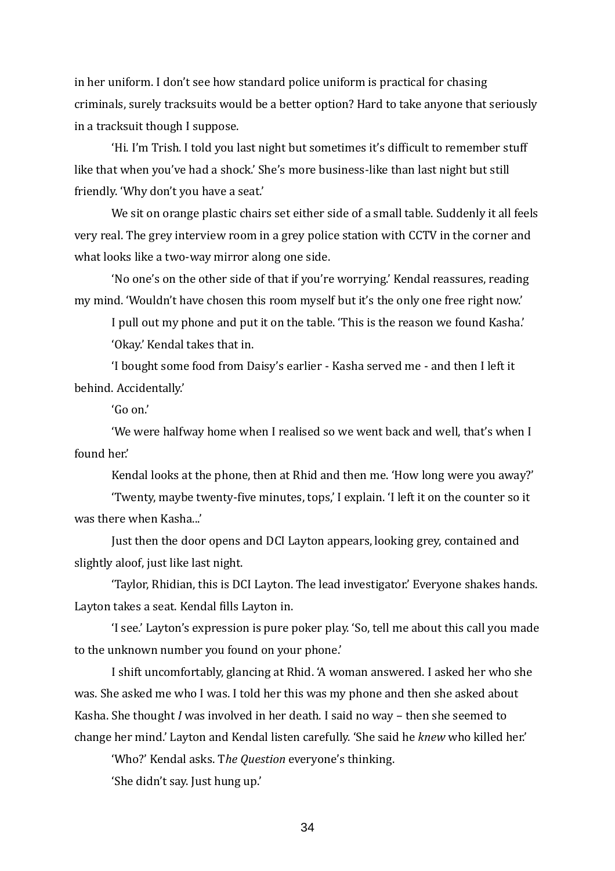in her uniform. I don't see how standard police uniform is practical for chasing criminals, surely tracksuits would be a better option? Hard to take anyone that seriously in a tracksuit though I suppose.

'Hi. I'm Trish. I told you last night but sometimes it's difficult to remember stuff like that when you've had a shock.' She's more business-like than last night but still friendly. 'Why don't you have a seat.'

We sit on orange plastic chairs set either side of a small table. Suddenly it all feels very real. The grey interview room in a grey police station with CCTV in the corner and what looks like a two-way mirror along one side.

'No one's on the other side of that if you're worrying.' Kendal reassures, reading my mind. 'Wouldn't have chosen this room myself but it's the only one free right now.'

I pull out my phone and put it on the table. 'This is the reason we found Kasha.' 'Okay.' Kendal takes that in.

'I bought some food from Daisy's earlier - Kasha served me - and then I left it behind. Accidentally.'

'Go on.'

'We were halfway home when I realised so we went back and well, that's when I found her.'

Kendal looks at the phone, then at Rhid and then me. 'How long were you away?'

'Twenty, maybe twenty-five minutes, tops,' I explain. 'I left it on the counter so it was there when Kasha...'

Just then the door opens and DCI Layton appears, looking grey, contained and slightly aloof, just like last night.

'Taylor, Rhidian, this is DCI Layton. The lead investigator.' Everyone shakes hands. Layton takes a seat. Kendal fills Layton in.

'I see.' Layton's expression is pure poker play. 'So, tell me about this call you made to the unknown number you found on your phone.'

I shift uncomfortably, glancing at Rhid. 'A woman answered. I asked her who she was. She asked me who I was. I told her this was my phone and then she asked about Kasha. She thought *I* was involved in her death. I said no way – then she seemed to change her mind.' Layton and Kendal listen carefully. 'She said he *knew* who killed her.'

'Who?' Kendal asks. T*he Question* everyone's thinking.

'She didn't say. Just hung up.'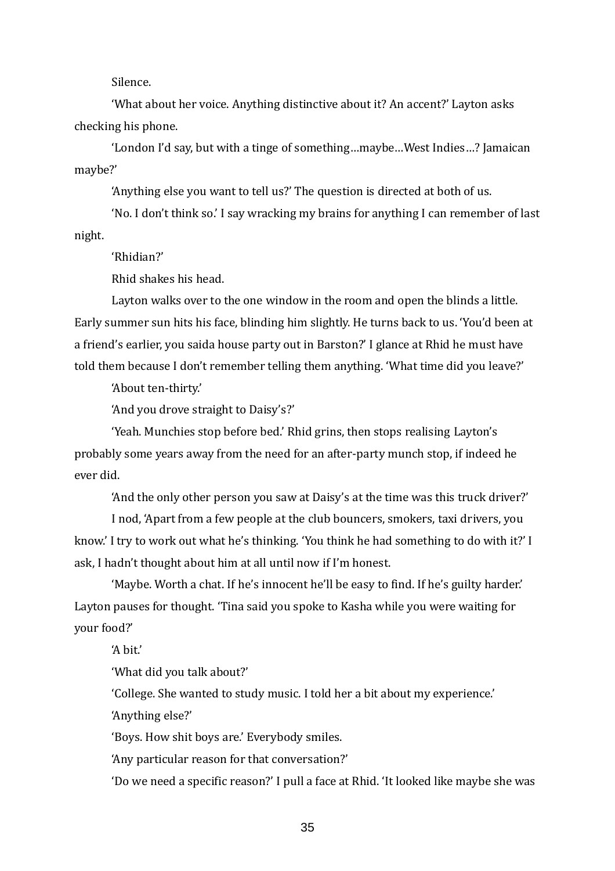Silence.

'What about her voice. Anything distinctive about it? An accent?' Layton asks checking his phone.

'London I'd say, but with a tinge of something…maybe…West Indies…? Jamaican maybe?'

'Anything else you want to tell us?' The question is directed at both of us.

'No. I don't think so.' I say wracking my brains for anything I can remember of last night.

'Rhidian?'

Rhid shakes his head.

Layton walks over to the one window in the room and open the blinds a little. Early summer sun hits his face, blinding him slightly. He turns back to us. 'You'd been at a friend's earlier, you saida house party out in Barston?' I glance at Rhid he must have told them because I don't remember telling them anything. 'What time did you leave?'

'About ten-thirty.'

'And you drove straight to Daisy's?'

'Yeah. Munchies stop before bed.' Rhid grins, then stops realising Layton's probably some years away from the need for an after-party munch stop, if indeed he ever did.

'And the only other person you saw at Daisy's at the time was this truck driver?'

I nod, 'Apart from a few people at the club bouncers, smokers, taxi drivers, you know.' I try to work out what he's thinking. 'You think he had something to do with it?' I ask, I hadn't thought about him at all until now if I'm honest.

'Maybe. Worth a chat. If he's innocent he'll be easy to find. If he's guilty harder.' Layton pauses for thought. 'Tina said you spoke to Kasha while you were waiting for your food?'

'A hit'

'What did you talk about?'

'College. She wanted to study music. I told her a bit about my experience.' 'Anything else?'

'Boys. How shit boys are.' Everybody smiles.

'Any particular reason for that conversation?'

'Do we need a specific reason?' I pull a face at Rhid. 'It looked like maybe she was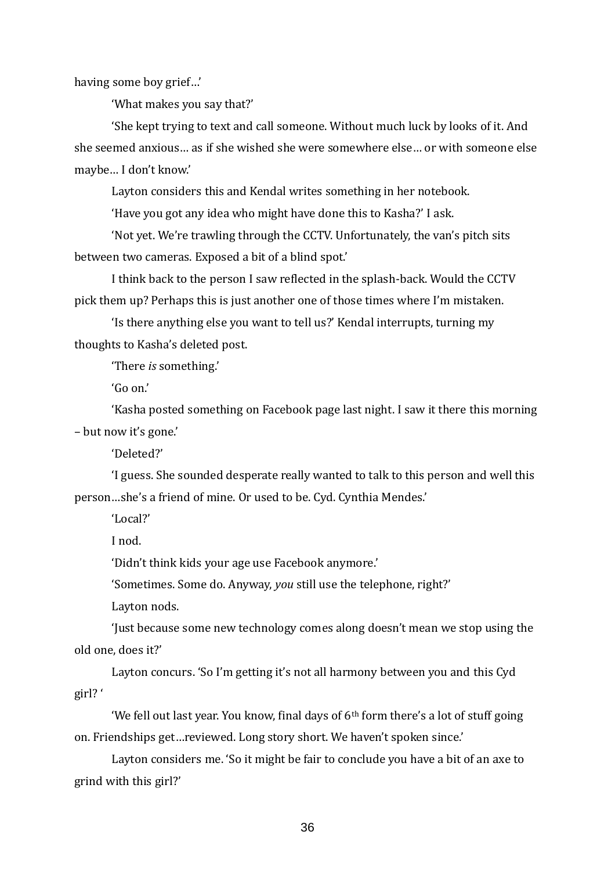having some boy grief…'

'What makes you say that?'

'She kept trying to text and call someone. Without much luck by looks of it. And she seemed anxious… as if she wished she were somewhere else… or with someone else maybe… I don't know.'

Layton considers this and Kendal writes something in her notebook.

'Have you got any idea who might have done this to Kasha?' I ask.

'Not yet. We're trawling through the CCTV. Unfortunately, the van's pitch sits between two cameras. Exposed a bit of a blind spot.'

I think back to the person I saw reflected in the splash-back. Would the CCTV pick them up? Perhaps this is just another one of those times where I'm mistaken.

'Is there anything else you want to tell us?' Kendal interrupts, turning my thoughts to Kasha's deleted post.

'There *is* something.'

'Go on.'

'Kasha posted something on Facebook page last night. I saw it there this morning – but now it's gone.'

'Deleted?'

'I guess. She sounded desperate really wanted to talk to this person and well this person…she's a friend of mine. Or used to be. Cyd. Cynthia Mendes.'

'Local?'

I nod.

'Didn't think kids your age use Facebook anymore.'

'Sometimes. Some do. Anyway, *you* still use the telephone, right?'

Layton nods.

'Just because some new technology comes along doesn't mean we stop using the old one, does it?'

Layton concurs. 'So I'm getting it's not all harmony between you and this Cyd girl? '

'We fell out last year. You know, final days of  $6<sup>th</sup>$  form there's a lot of stuff going on. Friendships get…reviewed. Long story short. We haven't spoken since.'

Layton considers me. 'So it might be fair to conclude you have a bit of an axe to grind with this girl?'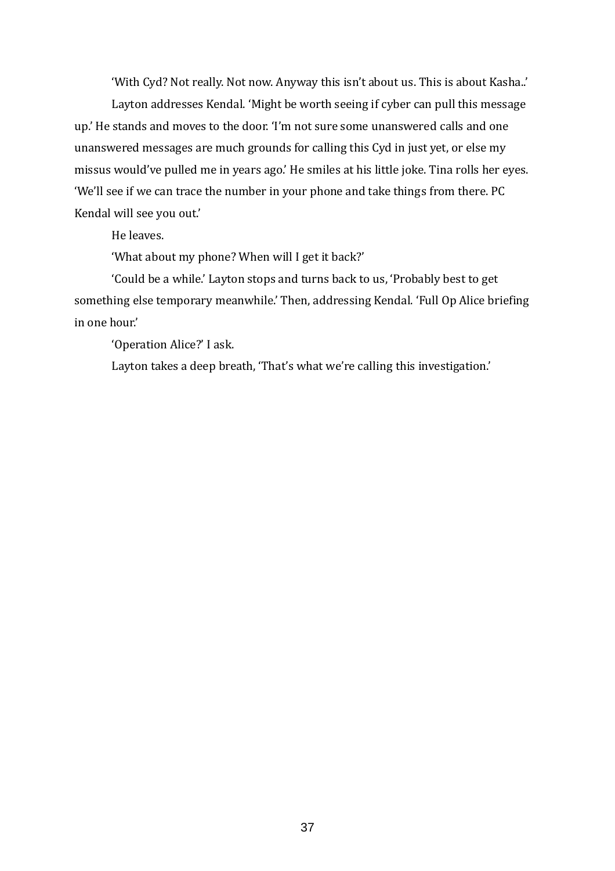'With Cyd? Not really. Not now. Anyway this isn't about us. This is about Kasha..'

Layton addresses Kendal. 'Might be worth seeing if cyber can pull this message up.' He stands and moves to the door. 'I'm not sure some unanswered calls and one unanswered messages are much grounds for calling this Cyd in just yet, or else my missus would've pulled me in years ago.' He smiles at his little joke. Tina rolls her eyes. 'We'll see if we can trace the number in your phone and take things from there. PC Kendal will see you out.'

He leaves.

'What about my phone? When will I get it back?'

'Could be a while.' Layton stops and turns back to us, 'Probably best to get something else temporary meanwhile.' Then, addressing Kendal. 'Full Op Alice briefing in one hour.'

'Operation Alice?' I ask.

Layton takes a deep breath, 'That's what we're calling this investigation.'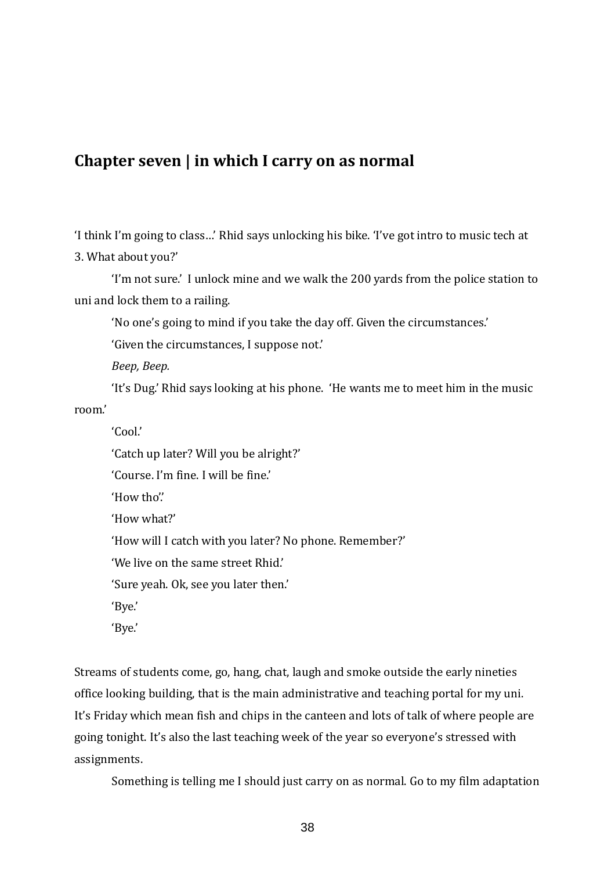# **Chapter seven | in which I carry on as normal**

'I think I'm going to class…' Rhid says unlocking his bike. 'I've got intro to music tech at 3. What about you?'

'I'm not sure.' I unlock mine and we walk the 200 yards from the police station to uni and lock them to a railing.

'No one's going to mind if you take the day off. Given the circumstances.'

'Given the circumstances, I suppose not.'

*Beep, Beep.* 

'It's Dug.' Rhid says looking at his phone. 'He wants me to meet him in the music room.'

'Cool.'

'Catch up later? Will you be alright?'

'Course. I'm fine. I will be fine.'

'How tho'.'

'How what?'

'How will I catch with you later? No phone. Remember?'

'We live on the same street Rhid.'

'Sure yeah. Ok, see you later then.'

'Bye.'

'Bye.'

Streams of students come, go, hang, chat, laugh and smoke outside the early nineties office looking building, that is the main administrative and teaching portal for my uni. It's Friday which mean fish and chips in the canteen and lots of talk of where people are going tonight. It's also the last teaching week of the year so everyone's stressed with assignments.

Something is telling me I should just carry on as normal. Go to my film adaptation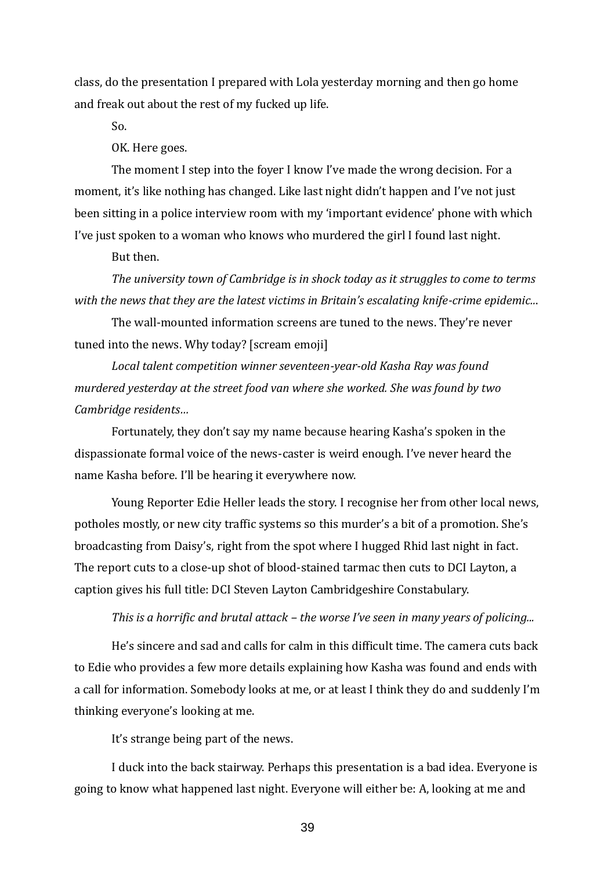class, do the presentation I prepared with Lola yesterday morning and then go home and freak out about the rest of my fucked up life.

So.

OK. Here goes.

The moment I step into the foyer I know I've made the wrong decision. For a moment, it's like nothing has changed. Like last night didn't happen and I've not just been sitting in a police interview room with my 'important evidence' phone with which I've just spoken to a woman who knows who murdered the girl I found last night.

But then.

*The university town of Cambridge is in shock today as it struggles to come to terms with the news that they are the latest victims in Britain's escalating knife-crime epidemic..*.

The wall-mounted information screens are tuned to the news. They're never tuned into the news. Why today? [scream emoji]

*Local talent competition winner seventeen-year-old Kasha Ray was found murdered yesterday at the street food van where she worked. She was found by two Cambridge residents…*

Fortunately, they don't say my name because hearing Kasha's spoken in the dispassionate formal voice of the news-caster is weird enough. I've never heard the name Kasha before. I'll be hearing it everywhere now.

Young Reporter Edie Heller leads the story. I recognise her from other local news, potholes mostly, or new city traffic systems so this murder's a bit of a promotion. She's broadcasting from Daisy's, right from the spot where I hugged Rhid last night in fact. The report cuts to a close-up shot of blood-stained tarmac then cuts to DCI Layton, a caption gives his full title: DCI Steven Layton Cambridgeshire Constabulary.

# *This is a horrific and brutal attack – the worse I've seen in many years of policing...*

He's sincere and sad and calls for calm in this difficult time. The camera cuts back to Edie who provides a few more details explaining how Kasha was found and ends with a call for information. Somebody looks at me, or at least I think they do and suddenly I'm thinking everyone's looking at me.

It's strange being part of the news.

I duck into the back stairway. Perhaps this presentation is a bad idea. Everyone is going to know what happened last night. Everyone will either be: A, looking at me and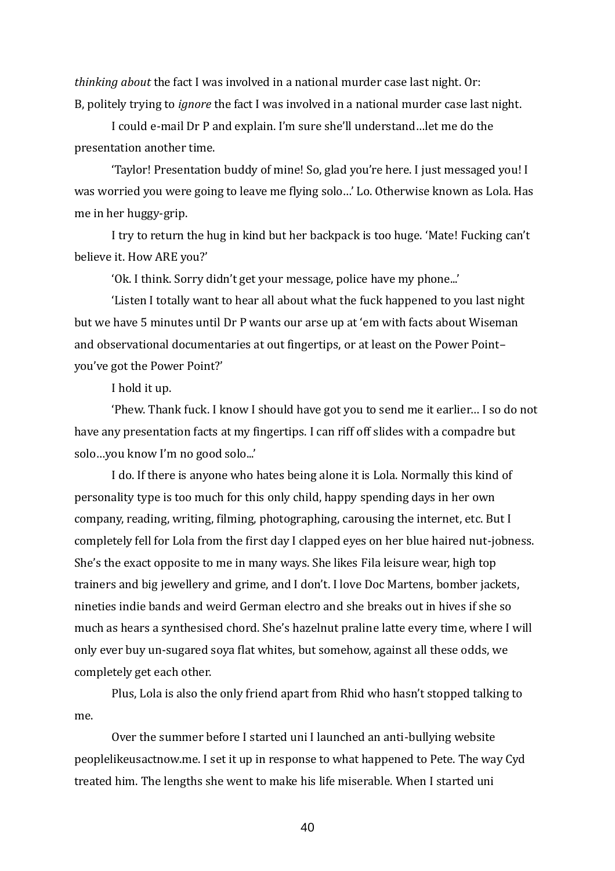*thinking about* the fact I was involved in a national murder case last night. Or: B, politely trying to *ignore* the fact I was involved in a national murder case last night.

I could e-mail Dr P and explain. I'm sure she'll understand…let me do the presentation another time.

'Taylor! Presentation buddy of mine! So, glad you're here. I just messaged you! I was worried you were going to leave me flying solo…' Lo. Otherwise known as Lola. Has me in her huggy-grip.

I try to return the hug in kind but her backpack is too huge. 'Mate! Fucking can't believe it. How ARE you?'

'Ok. I think. Sorry didn't get your message, police have my phone...'

'Listen I totally want to hear all about what the fuck happened to you last night but we have 5 minutes until Dr P wants our arse up at 'em with facts about Wiseman and observational documentaries at out fingertips, or at least on the Power Point– you've got the Power Point?'

I hold it up.

'Phew. Thank fuck. I know I should have got you to send me it earlier… I so do not have any presentation facts at my fingertips. I can riff off slides with a compadre but solo…you know I'm no good solo...'

I do. If there is anyone who hates being alone it is Lola. Normally this kind of personality type is too much for this only child, happy spending days in her own company, reading, writing, filming, photographing, carousing the internet, etc. But I completely fell for Lola from the first day I clapped eyes on her blue haired nut-jobness. She's the exact opposite to me in many ways. She likes Fila leisure wear, high top trainers and big jewellery and grime, and I don't. I love Doc Martens, bomber jackets, nineties indie bands and weird German electro and she breaks out in hives if she so much as hears a synthesised chord. She's hazelnut praline latte every time, where I will only ever buy un-sugared soya flat whites, but somehow, against all these odds, we completely get each other.

Plus, Lola is also the only friend apart from Rhid who hasn't stopped talking to me.

Over the summer before I started uni I launched an anti-bullying website peoplelikeusactnow.me. I set it up in response to what happened to Pete. The way Cyd treated him. The lengths she went to make his life miserable. When I started uni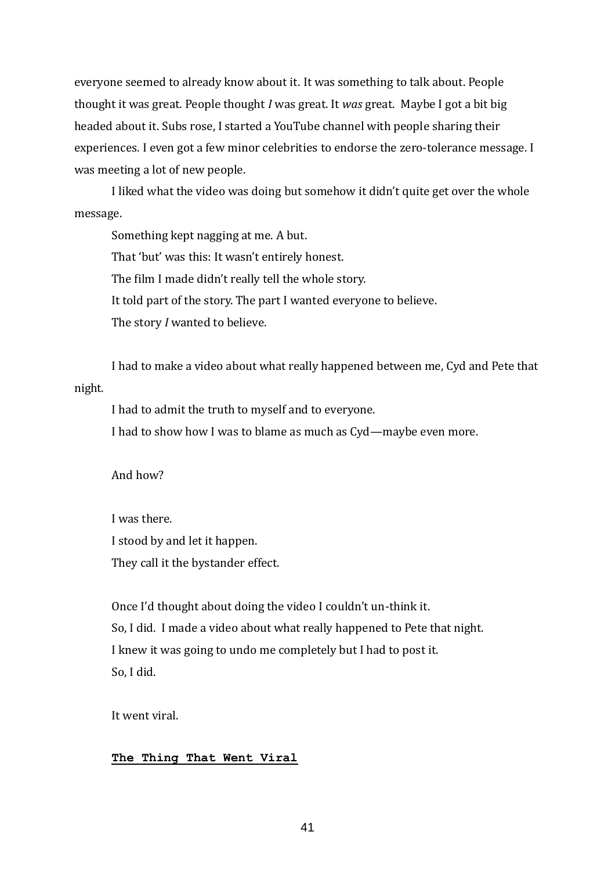everyone seemed to already know about it. It was something to talk about. People thought it was great. People thought *I* was great. It *was* great. Maybe I got a bit big headed about it. Subs rose, I started a YouTube channel with people sharing their experiences. I even got a few minor celebrities to endorse the zero-tolerance message. I was meeting a lot of new people.

I liked what the video was doing but somehow it didn't quite get over the whole message.

Something kept nagging at me. A but. That 'but' was this: It wasn't entirely honest. The film I made didn't really tell the whole story. It told part of the story. The part I wanted everyone to believe. The story *I* wanted to believe.

I had to make a video about what really happened between me, Cyd and Pete that

# night*.*

I had to admit the truth to myself and to everyone. I had to show how I was to blame as much as Cyd—maybe even more.

# And how?

I was there. I stood by and let it happen. They call it the bystander effect.

Once I'd thought about doing the video I couldn't un-think it. So, I did. I made a video about what really happened to Pete that night. I knew it was going to undo me completely but I had to post it. So, I did.

It went viral.

# **The Thing That Went Viral**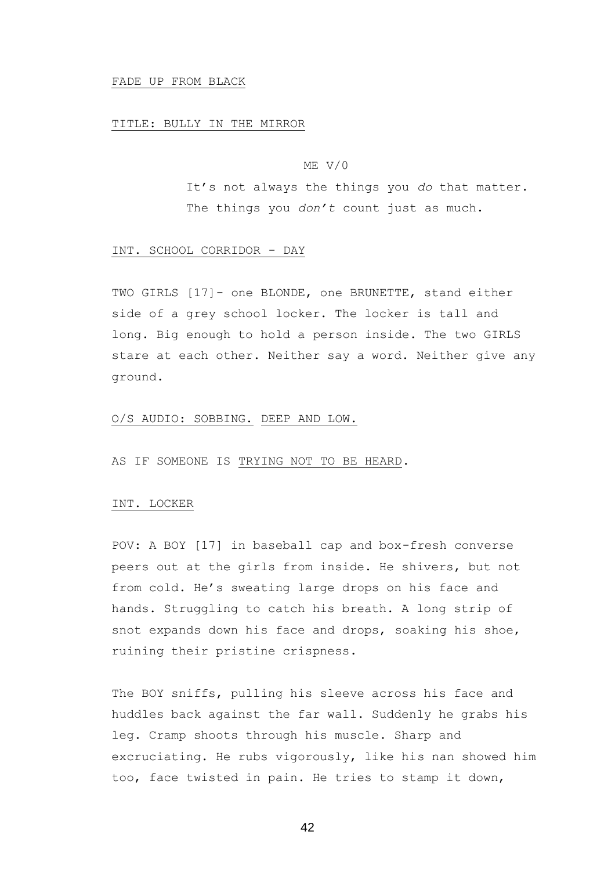#### FADE UP FROM BLACK

#### TITLE: BULLY IN THE MIRROR

## ME V/0

It's not always the things you *do* that matter. The things you *don't* count just as much.

#### INT. SCHOOL CORRIDOR - DAY

TWO GIRLS [17]- one BLONDE, one BRUNETTE, stand either side of a grey school locker. The locker is tall and long. Big enough to hold a person inside. The two GIRLS stare at each other. Neither say a word. Neither give any ground.

## O/S AUDIO: SOBBING. DEEP AND LOW.

AS IF SOMEONE IS TRYING NOT TO BE HEARD.

## INT. LOCKER

POV: A BOY [17] in baseball cap and box-fresh converse peers out at the girls from inside. He shivers, but not from cold. He's sweating large drops on his face and hands. Struggling to catch his breath. A long strip of snot expands down his face and drops, soaking his shoe, ruining their pristine crispness.

The BOY sniffs, pulling his sleeve across his face and huddles back against the far wall. Suddenly he grabs his leg. Cramp shoots through his muscle. Sharp and excruciating. He rubs vigorously, like his nan showed him too, face twisted in pain. He tries to stamp it down,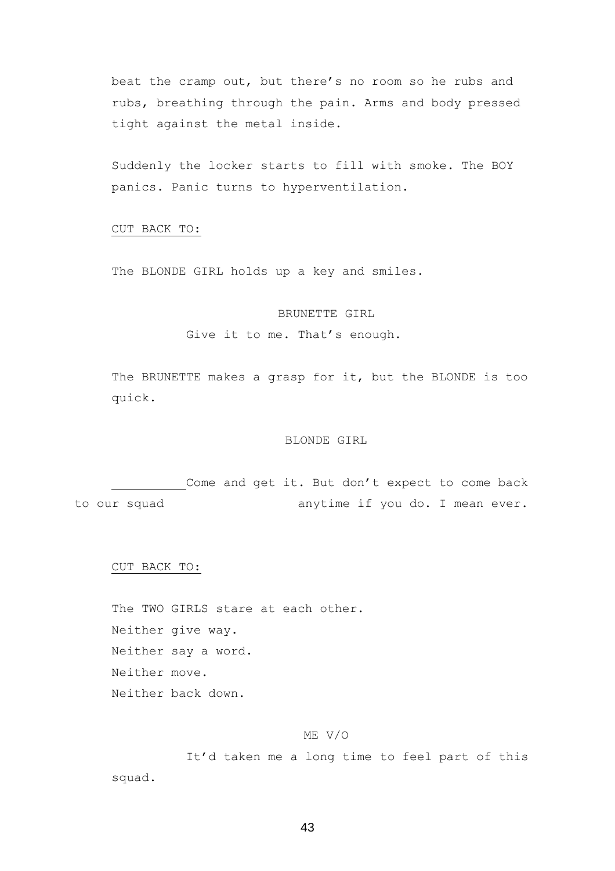beat the cramp out, but there's no room so he rubs and rubs, breathing through the pain. Arms and body pressed tight against the metal inside.

Suddenly the locker starts to fill with smoke. The BOY panics. Panic turns to hyperventilation.

#### CUT BACK TO:

The BLONDE GIRL holds up a key and smiles.

## BRUNETTE GIRL

Give it to me. That's enough.

The BRUNETTE makes a grasp for it, but the BLONDE is too quick.

## BLONDE GIRL

Come and get it. But don't expect to come back to our squad anytime if you do. I mean ever.

## CUT BACK TO:

The TWO GIRLS stare at each other. Neither give way. Neither say a word. Neither move. Neither back down.

#### ME V/O

It'd taken me a long time to feel part of this squad.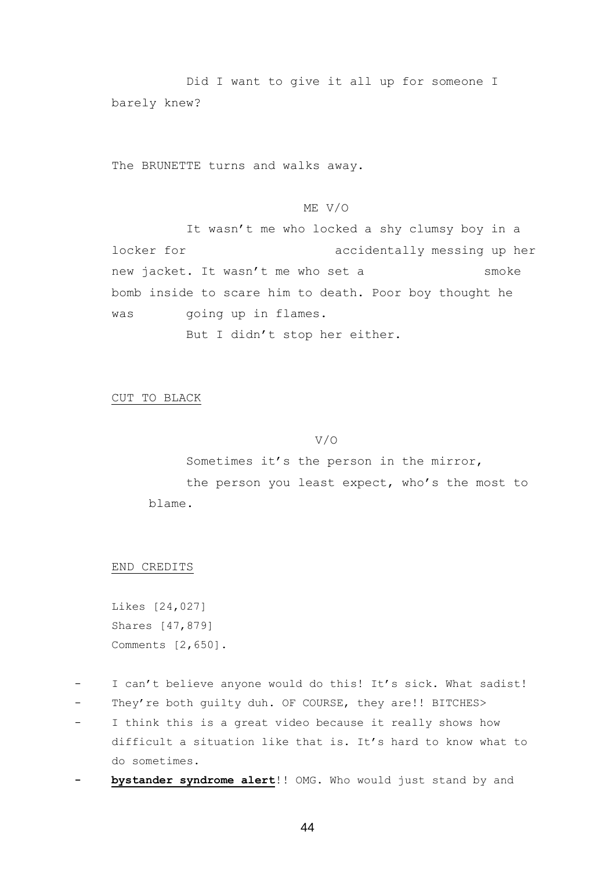Did I want to give it all up for someone I barely knew?

The BRUNETTE turns and walks away.

# ME V/O

It wasn't me who locked a shy clumsy boy in a locker for accidentally messing up her new jacket. It wasn't me who set a smoke bomb inside to scare him to death. Poor boy thought he was qoing up in flames.

But I didn't stop her either.

CUT TO BLACK

## V/O

Sometimes it's the person in the mirror, the person you least expect, who's the most to blame.

## END CREDITS

Likes [24,027] Shares [47,879] Comments [2,650].

- I can't believe anyone would do this! It's sick. What sadist!
- They're both guilty duh. OF COURSE, they are!! BITCHES>
- I think this is a great video because it really shows how difficult a situation like that is. It's hard to know what to do sometimes.
- **bystander syndrome alert**!! OMG. Who would just stand by and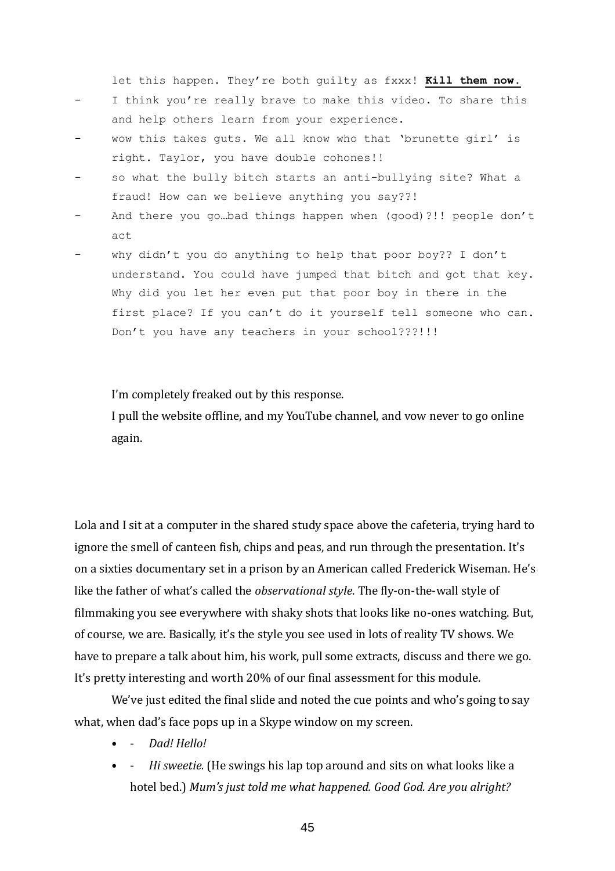let this happen. They're both guilty as fxxx! **Kill them now.**

- I think you're really brave to make this video. To share this and help others learn from your experience.
- wow this takes quts. We all know who that 'brunette girl' is right. Taylor, you have double cohones!!
- so what the bully bitch starts an anti-bullying site? What a fraud! How can we believe anything you say??!
- And there you go...bad things happen when (good) ?!! people don't act
- why didn't you do anything to help that poor boy?? I don't understand. You could have jumped that bitch and got that key. Why did you let her even put that poor boy in there in the first place? If you can't do it yourself tell someone who can. Don't you have any teachers in your school???!!!

I'm completely freaked out by this response.

I pull the website offline, and my YouTube channel, and vow never to go online again.

Lola and I sit at a computer in the shared study space above the cafeteria, trying hard to ignore the smell of canteen fish, chips and peas, and run through the presentation. It's on a sixties documentary set in a prison by an American called Frederick Wiseman. He's like the father of what's called the *observational style*. The fly-on-the-wall style of filmmaking you see everywhere with shaky shots that looks like no-ones watching. But, of course, we are. Basically, it's the style you see used in lots of reality TV shows. We have to prepare a talk about him, his work, pull some extracts, discuss and there we go. It's pretty interesting and worth 20% of our final assessment for this module.

We've just edited the final slide and noted the cue points and who's going to say what, when dad's face pops up in a Skype window on my screen.

- - *Dad! Hello!*
- - *Hi sweetie.* (He swings his lap top around and sits on what looks like a hotel bed.) *Mum's just told me what happened. Good God. Are you alright?*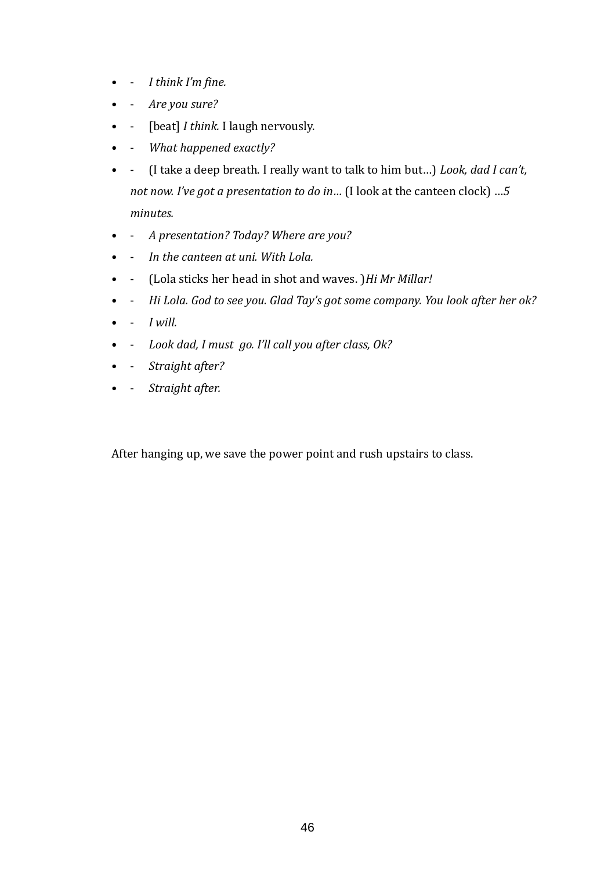- - *I think I'm fine.*
- - *Are you sure?*
- - [beat] *I think.* I laugh nervously.
- - *What happened exactly?*
- - (I take a deep breath. I really want to talk to him but…) *Look, dad I can't, not now. I've got a presentation to do in…* (I look at the canteen clock) …*5 minutes.*
- - *A presentation? Today? Where are you?*
- - *In the canteen at uni. With Lola.*
- - (Lola sticks her head in shot and waves. )*Hi Mr Millar!*
- - *Hi Lola. God to see you. Glad Tay's got some company. You look after her ok?*
- $\bullet$  *I will.*
- - *Look dad, I must go. I'll call you after class, Ok?*
- - *Straight after?*
- - *Straight after.*

After hanging up, we save the power point and rush upstairs to class.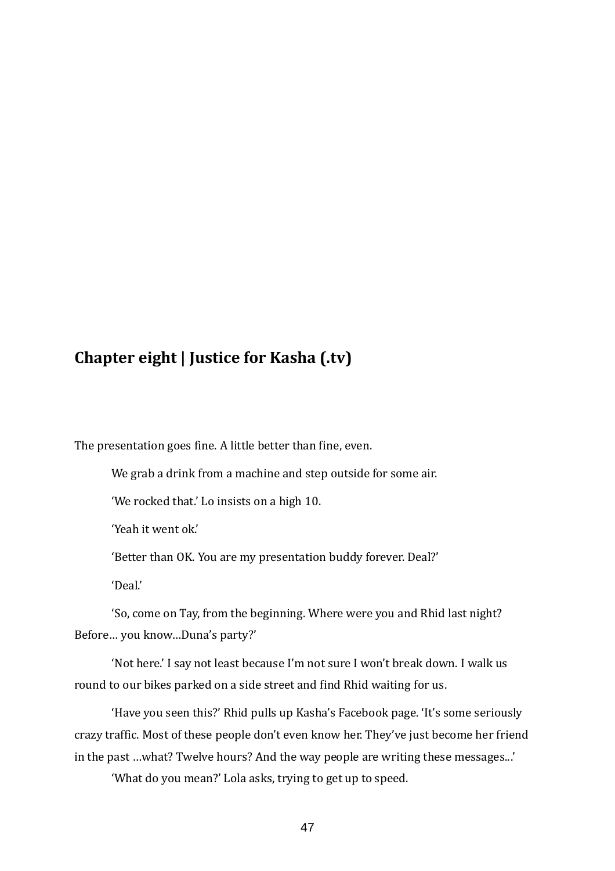# **Chapter eight | Justice for Kasha (.tv)**

The presentation goes fine. A little better than fine, even.

We grab a drink from a machine and step outside for some air.

'We rocked that.' Lo insists on a high 10.

'Yeah it went ok.'

'Better than OK. You are my presentation buddy forever. Deal?'

'Deal.'

'So, come on Tay, from the beginning. Where were you and Rhid last night? Before… you know…Duna's party?'

'Not here.' I say not least because I'm not sure I won't break down. I walk us round to our bikes parked on a side street and find Rhid waiting for us.

'Have you seen this?' Rhid pulls up Kasha's Facebook page. 'It's some seriously crazy traffic. Most of these people don't even know her. They've just become her friend in the past …what? Twelve hours? And the way people are writing these messages...'

'What do you mean?' Lola asks, trying to get up to speed.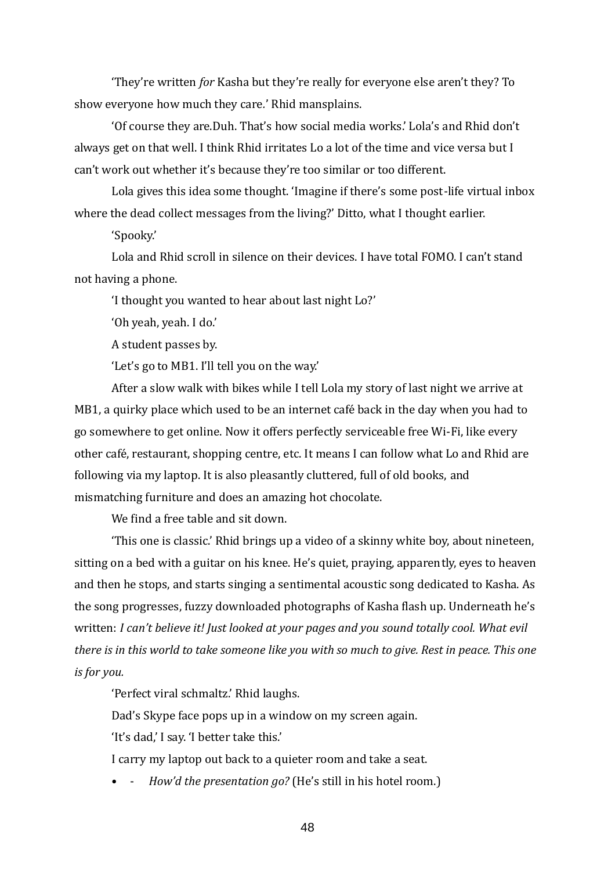'They're written *for* Kasha but they're really for everyone else aren't they? To show everyone how much they care*.*' Rhid mansplains.

'Of course they are.Duh. That's how social media works.' Lola's and Rhid don't always get on that well. I think Rhid irritates Lo a lot of the time and vice versa but I can't work out whether it's because they're too similar or too different.

Lola gives this idea some thought. 'Imagine if there's some post-life virtual inbox where the dead collect messages from the living?' Ditto, what I thought earlier.

'Spooky.'

Lola and Rhid scroll in silence on their devices. I have total FOMO. I can't stand not having a phone.

'I thought you wanted to hear about last night Lo?'

'Oh yeah, yeah. I do.'

A student passes by.

'Let's go to MB1. I'll tell you on the way.'

After a slow walk with bikes while I tell Lola my story of last night we arrive at MB1, a quirky place which used to be an internet café back in the day when you had to go somewhere to get online. Now it offers perfectly serviceable free Wi-Fi, like every other café, restaurant, shopping centre, etc. It means I can follow what Lo and Rhid are following via my laptop. It is also pleasantly cluttered, full of old books, and mismatching furniture and does an amazing hot chocolate.

We find a free table and sit down.

'This one is classic.' Rhid brings up a video of a skinny white boy, about nineteen, sitting on a bed with a guitar on his knee. He's quiet, praying, apparently, eyes to heaven and then he stops, and starts singing a sentimental acoustic song dedicated to Kasha. As the song progresses, fuzzy downloaded photographs of Kasha flash up. Underneath he's written: *I can't believe it! Just looked at your pages and you sound totally cool. What evil there is in this world to take someone like you with so much to give. Rest in peace. This one is for you.*

'Perfect viral schmaltz.' Rhid laughs.

Dad's Skype face pops up in a window on my screen again.

'It's dad,' I say. 'I better take this.'

I carry my laptop out back to a quieter room and take a seat.

*How'd the presentation go?* (He's still in his hotel room.)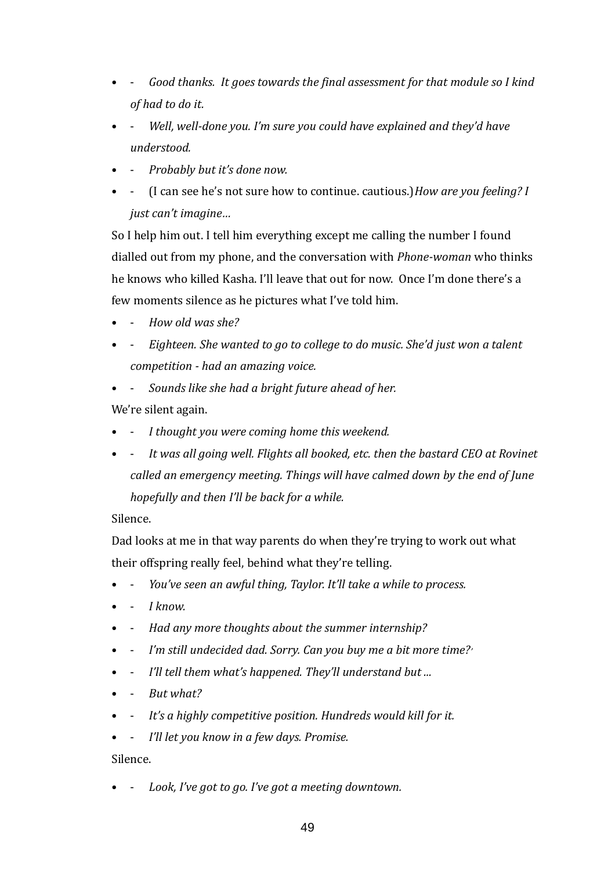- - *Good thanks. It goes towards the final assessment for that module so I kind of had to do it.*
- - *Well, well-done you. I'm sure you could have explained and they'd have understood.*
- - *Probably but it's done now.*
- - (I can see he's not sure how to continue. cautious.)*How are you feeling? I just can't imagine…*

So I help him out. I tell him everything except me calling the number I found dialled out from my phone, and the conversation with *Phone-woman* who thinks he knows who killed Kasha. I'll leave that out for now. Once I'm done there's a few moments silence as he pictures what I've told him.

- - *How old was she?*
- - *Eighteen. She wanted to go to college to do music. She'd just won a talent competition - had an amazing voice.*
- - *Sounds like she had a bright future ahead of her.*

We're silent again.

- - *I thought you were coming home this weekend.*
- It was all going well. Flights all booked, etc. then the bastard CEO at Rovinet *called an emergency meeting. Things will have calmed down by the end of June hopefully and then I'll be back for a while.*

# Silence.

Dad looks at me in that way parents do when they're trying to work out what their offspring really feel, behind what they're telling.

- - *You've seen an awful thing, Taylor. It'll take a while to process.*
- - *I know.*
- - *Had any more thoughts about the summer internship?*
- - *I'm still undecided dad. Sorry. Can you buy me a bit more time?'*
- - *I'll tell them what's happened. They'll understand but ...*
- - *But what?*
- It's a highly competitive position. Hundreds would kill for it.
- - *I'll let you know in a few days. Promise.*

Silence.

• - *Look, I've got to go. I've got a meeting downtown.*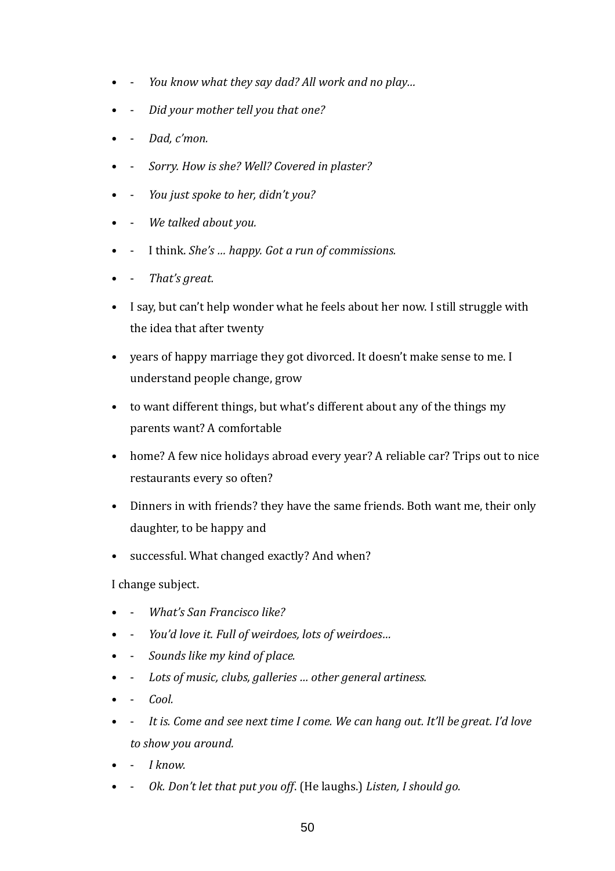- - *You know what they say dad? All work and no play…*
- - *Did your mother tell you that one?*
- - *Dad, c'mon.*
- - *Sorry. How is she? Well? Covered in plaster?*
- - *You just spoke to her, didn't you?*
- - *We talked about you.*
- - I think. *She's … happy. Got a run of commissions.*
- - *That's great.*
- I say, but can't help wonder what he feels about her now. I still struggle with the idea that after twenty
- years of happy marriage they got divorced. It doesn't make sense to me. I understand people change, grow
- to want different things, but what's different about any of the things my parents want? A comfortable
- home? A few nice holidays abroad every year? A reliable car? Trips out to nice restaurants every so often?
- Dinners in with friends? they have the same friends. Both want me, their only daughter, to be happy and
- successful. What changed exactly? And when?

I change subject.

- - *What's San Francisco like?*
- - *You'd love it. Full of weirdoes, lots of weirdoes…*
- - *Sounds like my kind of place.*
- - *Lots of music, clubs, galleries … other general artiness.*
- - *Cool.*
- It is. Come and see next time I come. We can hang out. It'll be great. I'd love *to show you around.*
- - *I know.*
- - *Ok. Don't let that put you off*. (He laughs.) *Listen, I should go.*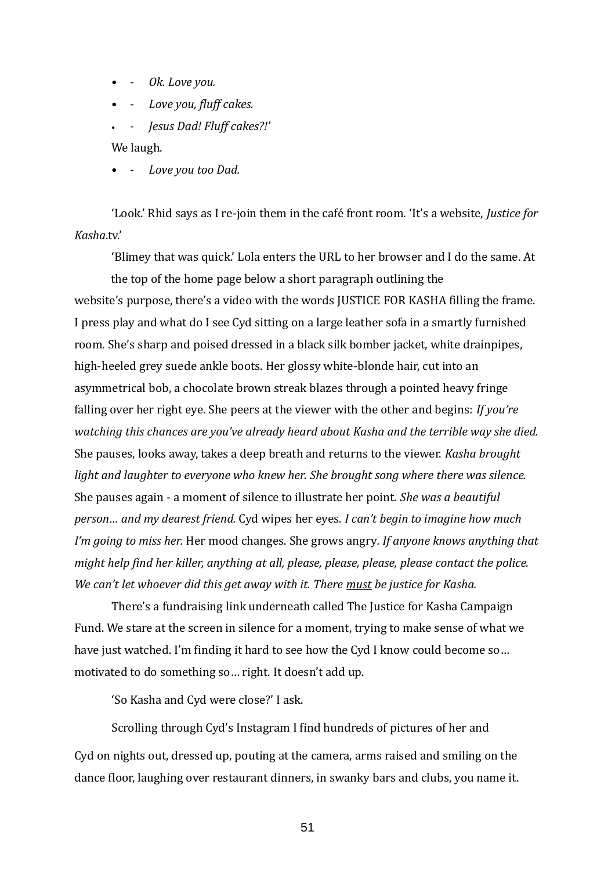- - *Ok. Love you.*
- - *Love you, fluff cakes.*
- - *Jesus Dad! Fluff cakes?!'*

We laugh.

Love you too Dad.

'Look.' Rhid says as I re-join them in the cafe front room. 'It's a website, *Justice for Kasha*.tv.'

'Blimey that was quick.' Lola enters the URL to her browser and I do the same. At the top of the home page below a short paragraph outlining the website's purpose, there's a video with the words JUSTICE FOR KASHA filling the frame. I press play and what do I see Cyd sitting on a large leather sofa in a smartly furnished room. She's sharp and poised dressed in a black silk bomber jacket, white drainpipes, high-heeled grey suede ankle boots. Her glossy white-blonde hair, cut into an asymmetrical bob, a chocolate brown streak blazes through a pointed heavy fringe falling over her right eye. She peers at the viewer with the other and begins: *If you're watching this chances are you've already heard about Kasha and the terrible way she died.* She pauses, looks away, takes a deep breath and returns to the viewer. *Kasha brought light and laughter to everyone who knew her. She brought song where there was silence.* She pauses again - a moment of silence to illustrate her point. *She was a beautiful person… and my dearest friend.* Cyd wipes her eyes. *I can't begin to imagine how much I'm going to miss her.* Her mood changes. She grows angry*. If anyone knows anything that might help find her killer, anything at all, please, please, please, please contact the police. We can't let whoever did this get away with it. There must be justice for Kasha.*

There's a fundraising link underneath called The Justice for Kasha Campaign Fund. We stare at the screen in silence for a moment, trying to make sense of what we have just watched. I'm finding it hard to see how the Cyd I know could become so… motivated to do something so… right. It doesn't add up.

'So Kasha and Cyd were close?' I ask.

Scrolling through Cyd's Instagram I find hundreds of pictures of her and Cyd on nights out, dressed up, pouting at the camera, arms raised and smiling on the dance floor, laughing over restaurant dinners, in swanky bars and clubs, you name it.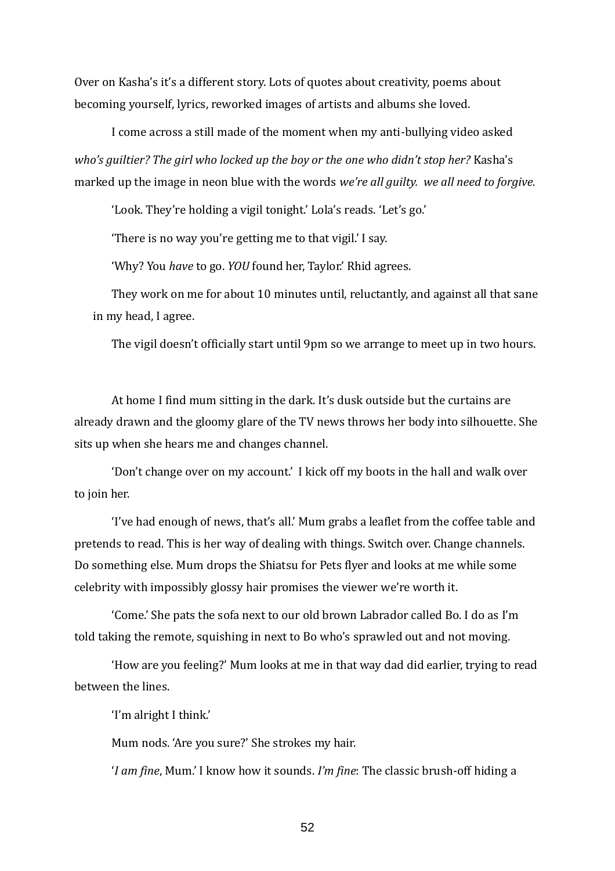Over on Kasha's it's a different story. Lots of quotes about creativity, poems about becoming yourself, lyrics, reworked images of artists and albums she loved.

I come across a still made of the moment when my anti-bullying video asked *who's guiltier? The girl who locked up the boy or the one who didn't stop her?* Kasha's marked up the image in neon blue with the words *we're all guilty. we all need to forgive.*

'Look. They're holding a vigil tonight.' Lola's reads. 'Let's go.'

'There is no way you're getting me to that vigil.' I say.

'Why? You *have* to go. *YOU* found her, Taylor.' Rhid agrees.

They work on me for about 10 minutes until, reluctantly, and against all that sane in my head, I agree.

The vigil doesn't officially start until 9pm so we arrange to meet up in two hours.

At home I find mum sitting in the dark. It's dusk outside but the curtains are already drawn and the gloomy glare of the TV news throws her body into silhouette. She sits up when she hears me and changes channel.

'Don't change over on my account.' I kick off my boots in the hall and walk over to join her.

'I've had enough of news, that's all.' Mum grabs a leaflet from the coffee table and pretends to read. This is her way of dealing with things. Switch over. Change channels. Do something else. Mum drops the Shiatsu for Pets flyer and looks at me while some celebrity with impossibly glossy hair promises the viewer we're worth it.

'Come.' She pats the sofa next to our old brown Labrador called Bo. I do as I'm told taking the remote, squishing in next to Bo who's sprawled out and not moving.

'How are you feeling?' Mum looks at me in that way dad did earlier, trying to read between the lines.

'I'm alright I think.'

Mum nods. 'Are you sure?' She strokes my hair.

'*I am fine*, Mum.' I know how it sounds. *I'm fine*: The classic brush-off hiding a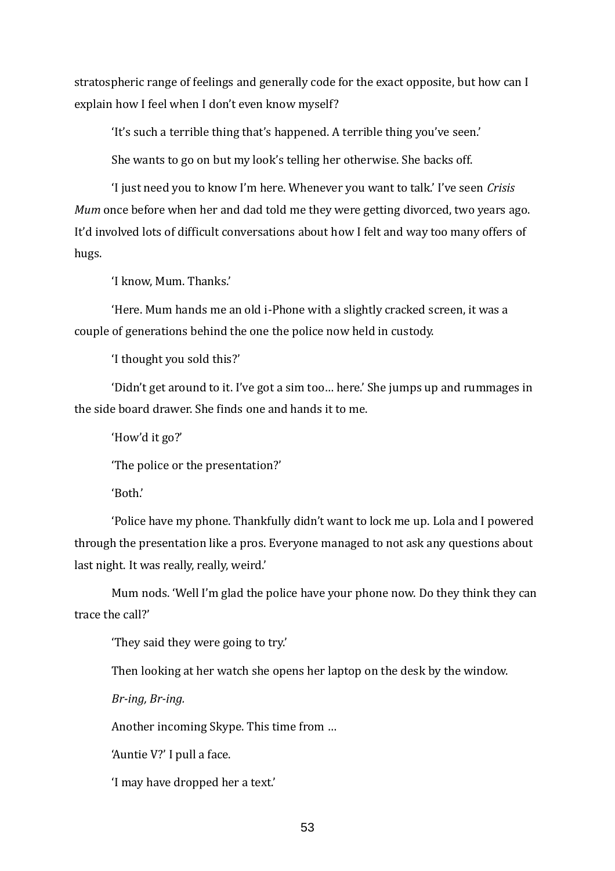stratospheric range of feelings and generally code for the exact opposite, but how can I explain how I feel when I don't even know myself?

'It's such a terrible thing that's happened. A terrible thing you've seen.'

She wants to go on but my look's telling her otherwise. She backs off.

'I just need you to know I'm here. Whenever you want to talk.' I've seen *Crisis Mum* once before when her and dad told me they were getting divorced, two years ago. It'd involved lots of difficult conversations about how I felt and way too many offers of hugs.

'I know, Mum. Thanks.'

'Here. Mum hands me an old i-Phone with a slightly cracked screen, it was a couple of generations behind the one the police now held in custody.

'I thought you sold this?'

'Didn't get around to it. I've got a sim too… here.' She jumps up and rummages in the side board drawer. She finds one and hands it to me.

'How'd it go?'

'The police or the presentation?'

'Both.'

'Police have my phone. Thankfully didn't want to lock me up. Lola and I powered through the presentation like a pros. Everyone managed to not ask any questions about last night. It was really, really, weird.'

Mum nods. 'Well I'm glad the police have your phone now. Do they think they can trace the call?'

'They said they were going to try.'

Then looking at her watch she opens her laptop on the desk by the window.

*Br-ing, Br-ing.*

Another incoming Skype. This time from …

'Auntie V?' I pull a face.

'I may have dropped her a text.'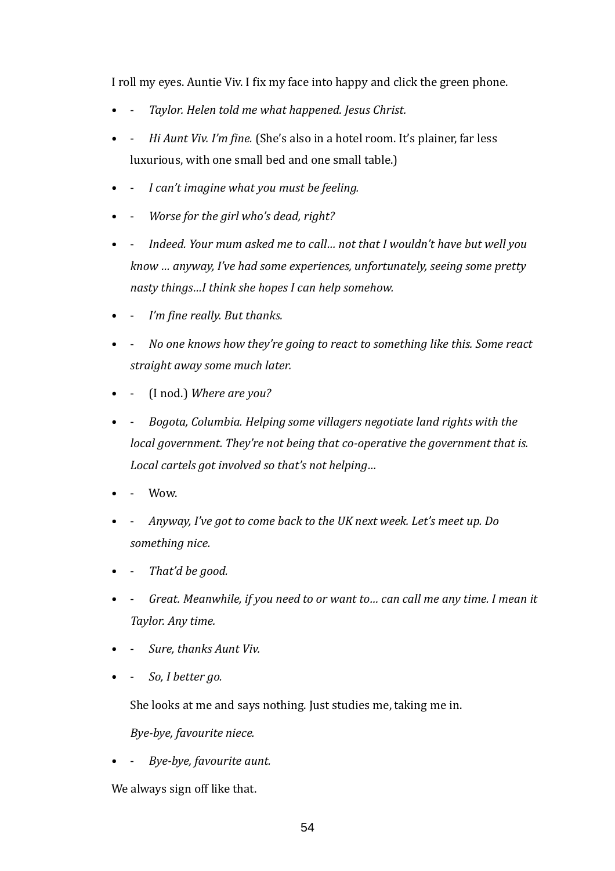I roll my eyes. Auntie Viv. I fix my face into happy and click the green phone.

- - *Taylor. Helen told me what happened. Jesus Christ.*
- - *Hi Aunt Viv. I'm fine.* (She's also in a hotel room. It's plainer, far less luxurious, with one small bed and one small table.)
- - *I can't imagine what you must be feeling.*
- - *Worse for the girl who's dead, right?*
- - *Indeed. Your mum asked me to call… not that I wouldn't have but well you know … anyway, I've had some experiences, unfortunately, seeing some pretty nasty things…I think she hopes I can help somehow.*
- *I'm fine really. But thanks.*
- - *No one knows how they're going to react to something like this. Some react straight away some much later.*
- - (I nod.) *Where are you?*
- - *Bogota, Columbia. Helping some villagers negotiate land rights with the local government. They're not being that co-operative the government that is. Local cartels got involved so that's not helping…*
- Wow.
- - *Anyway, I've got to come back to the UK next week. Let's meet up. Do something nice.*
- - *That'd be good.*
- Great. Meanwhile, if you need to or want to... can call me any time. I mean it *Taylor. Any time.*
- - *Sure, thanks Aunt Viv.*
- - *So, I better go.*

She looks at me and says nothing. Just studies me, taking me in.

*Bye-bye, favourite niece.* 

• - *Bye-bye, favourite aunt.*

We always sign off like that.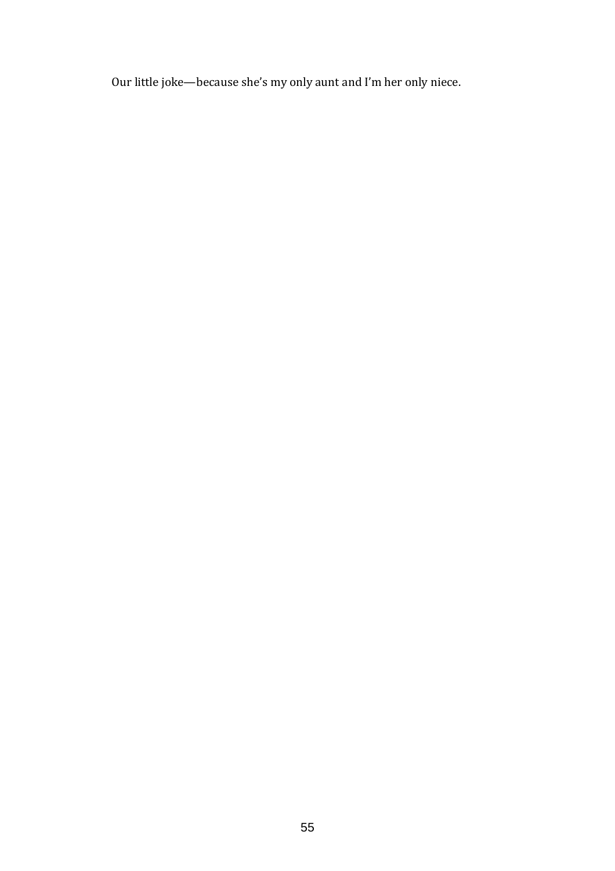Our little joke—because she's my only aunt and I'm her only niece.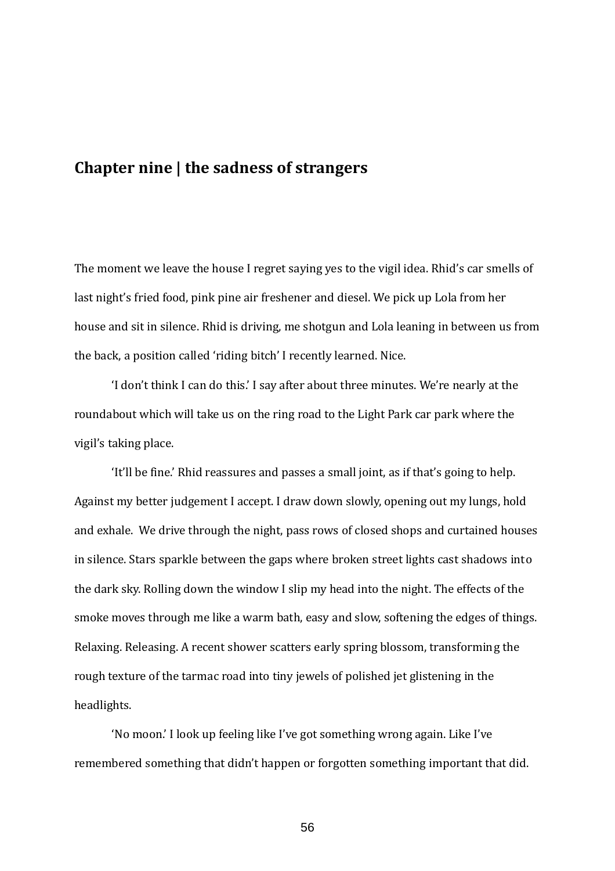# **Chapter nine | the sadness of strangers**

The moment we leave the house I regret saying yes to the vigil idea. Rhid's car smells of last night's fried food, pink pine air freshener and diesel. We pick up Lola from her house and sit in silence. Rhid is driving, me shotgun and Lola leaning in between us from the back, a position called 'riding bitch' I recently learned. Nice.

'I don't think I can do this.' I say after about three minutes. We're nearly at the roundabout which will take us on the ring road to the Light Park car park where the vigil's taking place.

'It'll be fine.' Rhid reassures and passes a small joint, as if that's going to help. Against my better judgement I accept. I draw down slowly, opening out my lungs, hold and exhale. We drive through the night, pass rows of closed shops and curtained houses in silence. Stars sparkle between the gaps where broken street lights cast shadows into the dark sky. Rolling down the window I slip my head into the night. The effects of the smoke moves through me like a warm bath, easy and slow, softening the edges of things. Relaxing. Releasing. A recent shower scatters early spring blossom, transforming the rough texture of the tarmac road into tiny jewels of polished jet glistening in the headlights.

'No moon.' I look up feeling like I've got something wrong again. Like I've remembered something that didn't happen or forgotten something important that did.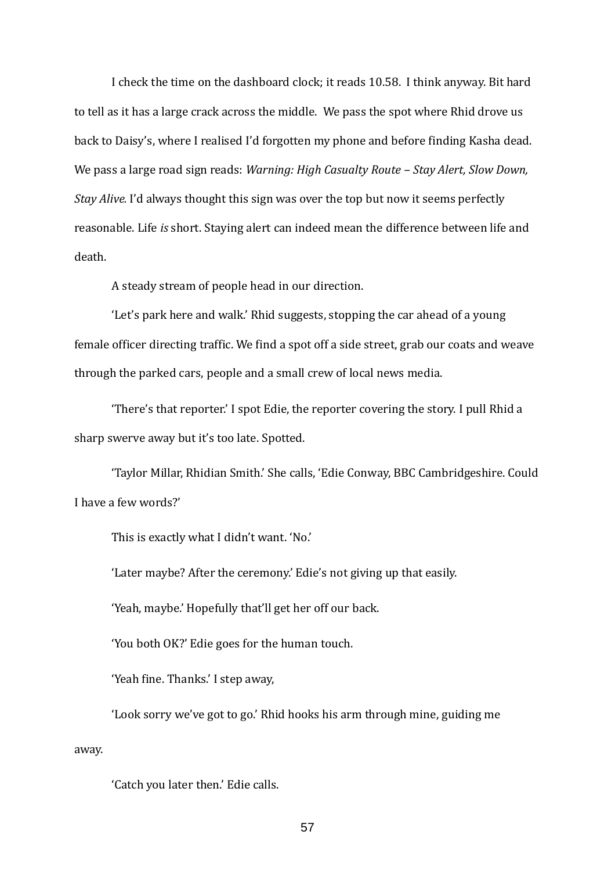I check the time on the dashboard clock; it reads 10.58. I think anyway. Bit hard to tell as it has a large crack across the middle. We pass the spot where Rhid drove us back to Daisy's, where I realised I'd forgotten my phone and before finding Kasha dead. We pass a large road sign reads: *Warning: High Casualty Route – Stay Alert, Slow Down, Stay Alive.* I'd always thought this sign was over the top but now it seems perfectly reasonable. Life *is* short. Staying alert can indeed mean the difference between life and death.

A steady stream of people head in our direction.

'Let's park here and walk.' Rhid suggests, stopping the car ahead of a young female officer directing traffic. We find a spot off a side street, grab our coats and weave through the parked cars, people and a small crew of local news media.

'There's that reporter.' I spot Edie, the reporter covering the story. I pull Rhid a sharp swerve away but it's too late. Spotted.

'Taylor Millar, Rhidian Smith.' She calls, 'Edie Conway, BBC Cambridgeshire. Could I have a few words?'

This is exactly what I didn't want. 'No.'

'Later maybe? After the ceremony.' Edie's not giving up that easily.

'Yeah, maybe.' Hopefully that'll get her off our back.

'You both OK?' Edie goes for the human touch.

'Yeah fine. Thanks.' I step away,

'Look sorry we've got to go.' Rhid hooks his arm through mine, guiding me away.

'Catch you later then.' Edie calls.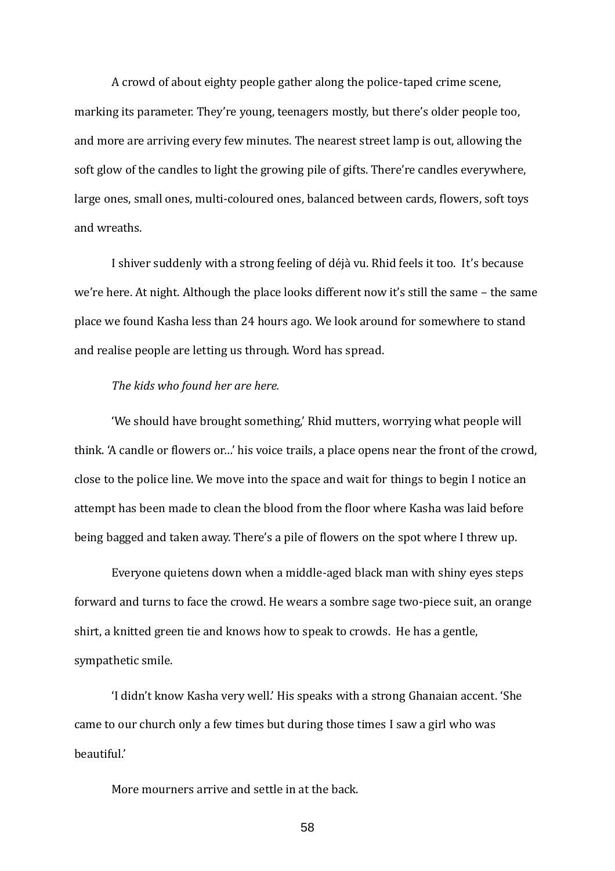A crowd of about eighty people gather along the police-taped crime scene, marking its parameter. They're young, teenagers mostly, but there's older people too, and more are arriving every few minutes. The nearest street lamp is out, allowing the soft glow of the candles to light the growing pile of gifts. There're candles everywhere, large ones, small ones, multi-coloured ones, balanced between cards, flowers, soft toys and wreaths.

I shiver suddenly with a strong feeling of déjà vu. Rhid feels it too. It's because we're here. At night. Although the place looks different now it's still the same – the same place we found Kasha less than 24 hours ago. We look around for somewhere to stand and realise people are letting us through. Word has spread.

# *The kids who found her are here.*

'We should have brought something,' Rhid mutters, worrying what people will think. 'A candle or flowers or…' his voice trails, a place opens near the front of the crowd, close to the police line. We move into the space and wait for things to begin I notice an attempt has been made to clean the blood from the floor where Kasha was laid before being bagged and taken away. There's a pile of flowers on the spot where I threw up.

Everyone quietens down when a middle-aged black man with shiny eyes steps forward and turns to face the crowd. He wears a sombre sage two-piece suit, an orange shirt, a knitted green tie and knows how to speak to crowds. He has a gentle, sympathetic smile.

'I didn't know Kasha very well.' His speaks with a strong Ghanaian accent. 'She came to our church only a few times but during those times I saw a girl who was beautiful.'

More mourners arrive and settle in at the back.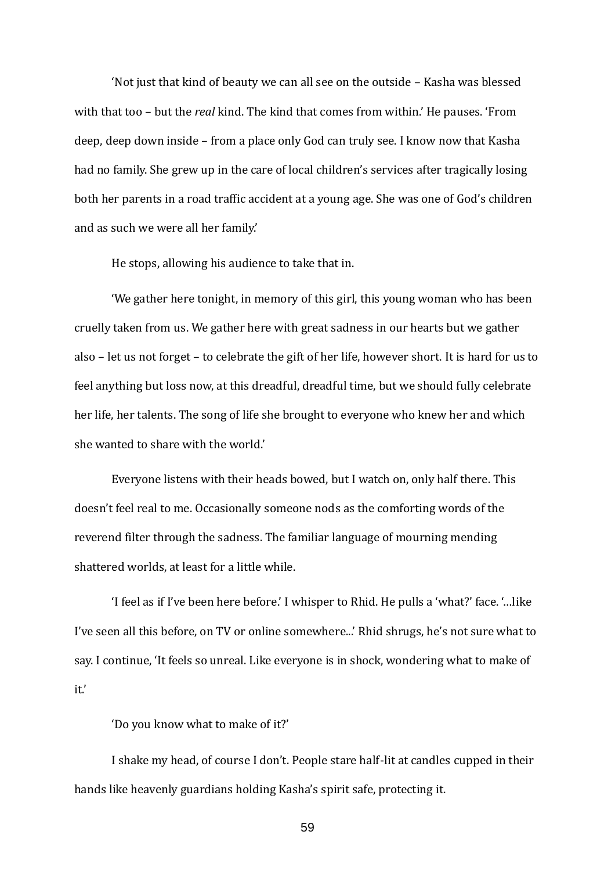'Not just that kind of beauty we can all see on the outside – Kasha was blessed with that too – but the *real* kind. The kind that comes from within.' He pauses. 'From deep, deep down inside – from a place only God can truly see. I know now that Kasha had no family. She grew up in the care of local children's services after tragically losing both her parents in a road traffic accident at a young age. She was one of God's children and as such we were all her family.'

He stops, allowing his audience to take that in.

'We gather here tonight, in memory of this girl, this young woman who has been cruelly taken from us. We gather here with great sadness in our hearts but we gather also – let us not forget – to celebrate the gift of her life, however short. It is hard for us to feel anything but loss now, at this dreadful, dreadful time, but we should fully celebrate her life, her talents. The song of life she brought to everyone who knew her and which she wanted to share with the world.'

Everyone listens with their heads bowed, but I watch on, only half there. This doesn't feel real to me. Occasionally someone nods as the comforting words of the reverend filter through the sadness. The familiar language of mourning mending shattered worlds, at least for a little while.

'I feel as if I've been here before.' I whisper to Rhid. He pulls a 'what?' face. '…like I've seen all this before, on TV or online somewhere...' Rhid shrugs, he's not sure what to say. I continue, 'It feels so unreal. Like everyone is in shock, wondering what to make of it.'

'Do you know what to make of it?'

I shake my head, of course I don't. People stare half-lit at candles cupped in their hands like heavenly guardians holding Kasha's spirit safe, protecting it.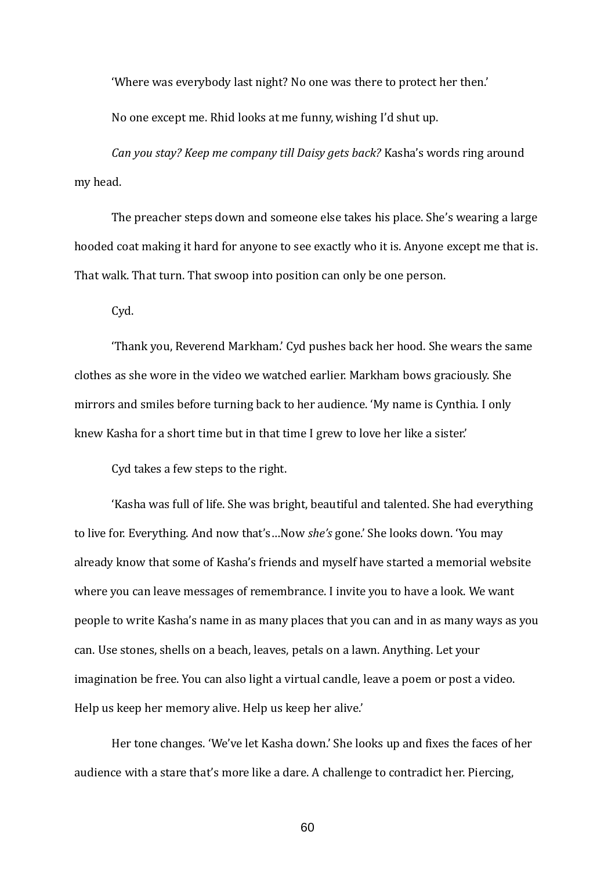'Where was everybody last night? No one was there to protect her then.'

No one except me. Rhid looks at me funny, wishing I'd shut up.

*Can you stay? Keep me company till Daisy gets back?* Kasha's words ring around my head.

The preacher steps down and someone else takes his place. She's wearing a large hooded coat making it hard for anyone to see exactly who it is. Anyone except me that is. That walk. That turn. That swoop into position can only be one person.

Cyd.

'Thank you, Reverend Markham.' Cyd pushes back her hood. She wears the same clothes as she wore in the video we watched earlier. Markham bows graciously. She mirrors and smiles before turning back to her audience. 'My name is Cynthia. I only knew Kasha for a short time but in that time I grew to love her like a sister.'

Cyd takes a few steps to the right.

'Kasha was full of life. She was bright, beautiful and talented. She had everything to live for. Everything. And now that's…Now *she's* gone.' She looks down. 'You may already know that some of Kasha's friends and myself have started a memorial website where you can leave messages of remembrance. I invite you to have a look. We want people to write Kasha's name in as many places that you can and in as many ways as you can. Use stones, shells on a beach, leaves, petals on a lawn. Anything. Let your imagination be free. You can also light a virtual candle, leave a poem or post a video. Help us keep her memory alive. Help us keep her alive.'

Her tone changes. 'We've let Kasha down.' She looks up and fixes the faces of her audience with a stare that's more like a dare. A challenge to contradict her. Piercing,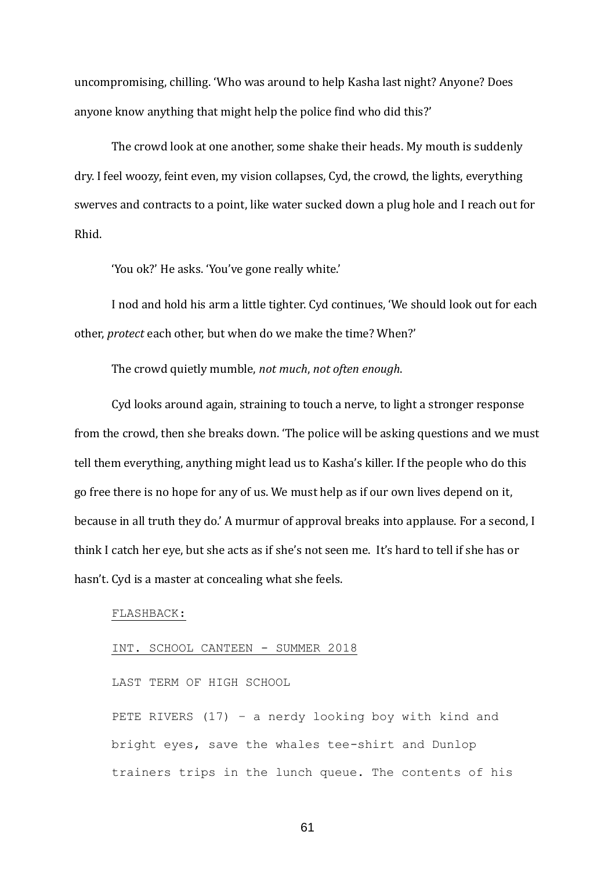uncompromising, chilling. 'Who was around to help Kasha last night? Anyone? Does anyone know anything that might help the police find who did this?'

The crowd look at one another, some shake their heads. My mouth is suddenly dry. I feel woozy, feint even, my vision collapses, Cyd, the crowd, the lights, everything swerves and contracts to a point, like water sucked down a plug hole and I reach out for Rhid.

'You ok?' He asks. 'You've gone really white.'

I nod and hold his arm a little tighter. Cyd continues, 'We should look out for each other, *protect* each other, but when do we make the time? When?'

The crowd quietly mumble, *not much*, *not often enough*.

Cyd looks around again, straining to touch a nerve, to light a stronger response from the crowd, then she breaks down. 'The police will be asking questions and we must tell them everything, anything might lead us to Kasha's killer. If the people who do this go free there is no hope for any of us. We must help as if our own lives depend on it, because in all truth they do.' A murmur of approval breaks into applause. For a second, I think I catch her eye, but she acts as if she's not seen me. It's hard to tell if she has or hasn't. Cyd is a master at concealing what she feels.

#### FLASHBACK:

### INT. SCHOOL CANTEEN - SUMMER 2018

LAST TERM OF HIGH SCHOOL

PETE RIVERS (17) – a nerdy looking boy with kind and bright eyes, save the whales tee-shirt and Dunlop trainers trips in the lunch queue. The contents of his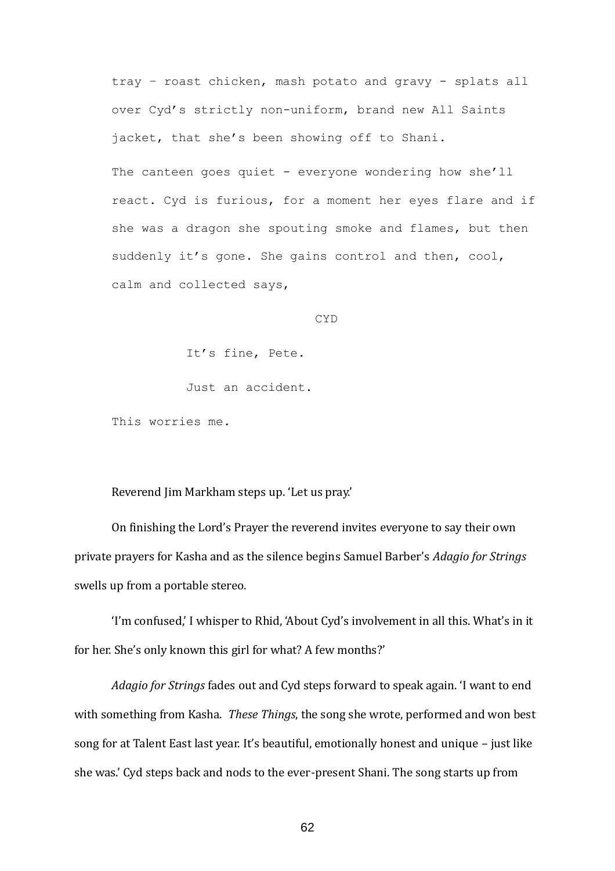tray – roast chicken, mash potato and gravy - splats all over Cyd's strictly non-uniform, brand new All Saints jacket, that she's been showing off to Shani.

The canteen goes quiet - everyone wondering how she'll react. Cyd is furious, for a moment her eyes flare and if she was a dragon she spouting smoke and flames, but then suddenly it's gone. She gains control and then, cool, calm and collected says,

CYD

It's fine, Pete.

Just an accident.

This worries me.

Reverend Jim Markham steps up. 'Let us pray.'

On finishing the Lord's Prayer the reverend invites everyone to say their own private prayers for Kasha and as the silence begins Samuel Barber's *Adagio for Strings*  swells up from a portable stereo.

'I'm confused,' I whisper to Rhid, 'About Cyd's involvement in all this. What's in it for her. She's only known this girl for what? A few months?'

*Adagio for Strings* fades out and Cyd steps forward to speak again. 'I want to end with something from Kasha. *These Things*, the song she wrote, performed and won best song for at Talent East last year. It's beautiful, emotionally honest and unique – just like she was.' Cyd steps back and nods to the ever-present Shani. The song starts up from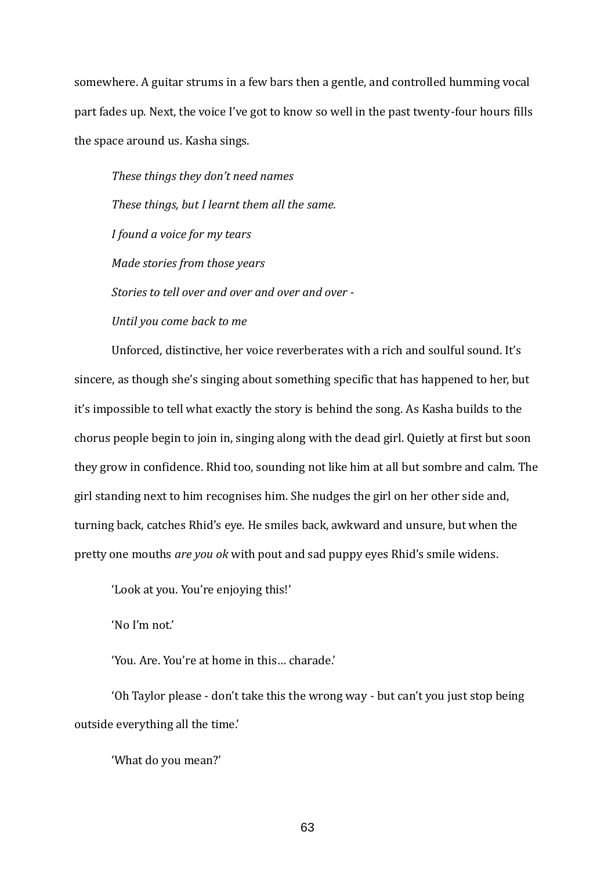somewhere. A guitar strums in a few bars then a gentle, and controlled humming vocal part fades up. Next, the voice I've got to know so well in the past twenty-four hours fills the space around us. Kasha sings.

*These things they don't need names These things, but I learnt them all the same. I found a voice for my tears Made stories from those years Stories to tell over and over and over and over - Until you come back to me*

Unforced, distinctive, her voice reverberates with a rich and soulful sound. It's sincere, as though she's singing about something specific that has happened to her, but it's impossible to tell what exactly the story is behind the song. As Kasha builds to the chorus people begin to join in, singing along with the dead girl. Quietly at first but soon they grow in confidence. Rhid too, sounding not like him at all but sombre and calm. The girl standing next to him recognises him. She nudges the girl on her other side and, turning back, catches Rhid's eye. He smiles back, awkward and unsure, but when the pretty one mouths *are you ok* with pout and sad puppy eyes Rhid's smile widens.

'Look at you. You're enjoying this!'

'No I'm not.'

'You. Are. You're at home in this… charade.'

'Oh Taylor please - don't take this the wrong way - but can't you just stop being outside everything all the time.'

'What do you mean?'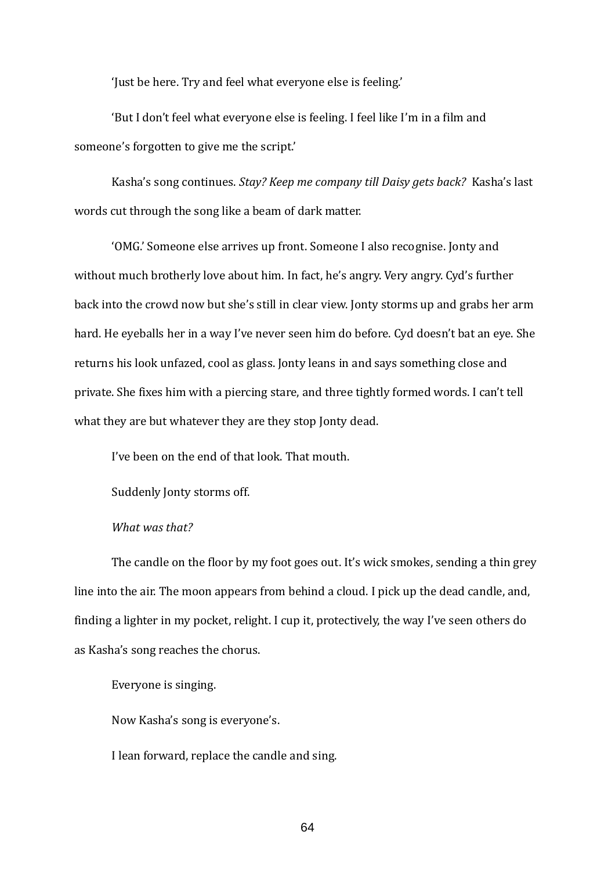'Just be here. Try and feel what everyone else is feeling.'

'But I don't feel what everyone else is feeling. I feel like I'm in a film and someone's forgotten to give me the script.'

Kasha's song continues. *Stay? Keep me company till Daisy gets back?* Kasha's last words cut through the song like a beam of dark matter.

'OMG.' Someone else arrives up front. Someone I also recognise. Jonty and without much brotherly love about him. In fact, he's angry. Very angry. Cyd's further back into the crowd now but she's still in clear view. Jonty storms up and grabs her arm hard. He eyeballs her in a way I've never seen him do before. Cyd doesn't bat an eye. She returns his look unfazed, cool as glass. Jonty leans in and says something close and private. She fixes him with a piercing stare, and three tightly formed words. I can't tell what they are but whatever they are they stop Jonty dead.

I've been on the end of that look. That mouth.

Suddenly Jonty storms off.

*What was that?*

The candle on the floor by my foot goes out. It's wick smokes, sending a thin grey line into the air. The moon appears from behind a cloud. I pick up the dead candle, and, finding a lighter in my pocket, relight. I cup it, protectively, the way I've seen others do as Kasha's song reaches the chorus.

Everyone is singing.

Now Kasha's song is everyone's.

I lean forward, replace the candle and sing.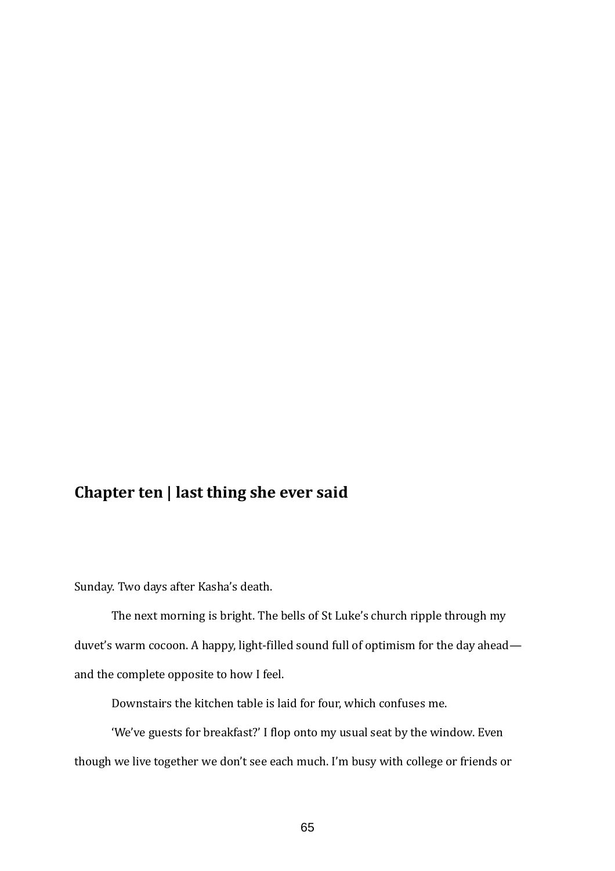# **Chapter ten | last thing she ever said**

Sunday. Two days after Kasha's death.

The next morning is bright. The bells of St Luke's church ripple through my duvet's warm cocoon. A happy, light-filled sound full of optimism for the day ahead and the complete opposite to how I feel.

Downstairs the kitchen table is laid for four, which confuses me.

'We've guests for breakfast?' I flop onto my usual seat by the window. Even though we live together we don't see each much. I'm busy with college or friends or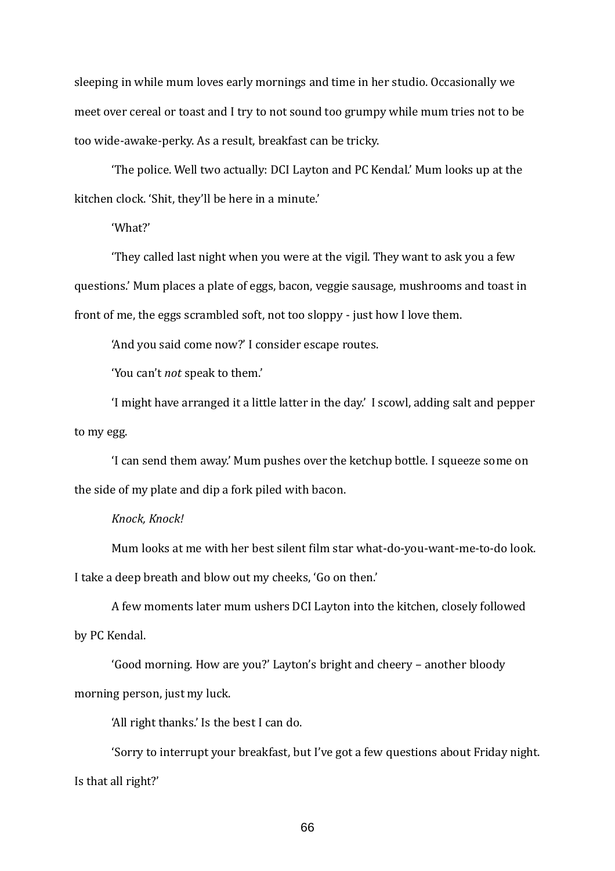sleeping in while mum loves early mornings and time in her studio. Occasionally we meet over cereal or toast and I try to not sound too grumpy while mum tries not to be too wide-awake-perky. As a result, breakfast can be tricky.

'The police. Well two actually: DCI Layton and PC Kendal.' Mum looks up at the kitchen clock. 'Shit, they'll be here in a minute.'

'What?'

'They called last night when you were at the vigil. They want to ask you a few questions.' Mum places a plate of eggs, bacon, veggie sausage, mushrooms and toast in front of me, the eggs scrambled soft, not too sloppy - just how I love them.

'And you said come now?' I consider escape routes.

'You can't *not* speak to them.'

'I might have arranged it a little latter in the day.' I scowl, adding salt and pepper to my egg.

'I can send them away.' Mum pushes over the ketchup bottle. I squeeze some on the side of my plate and dip a fork piled with bacon.

# *Knock, Knock!*

Mum looks at me with her best silent film star what-do-you-want-me-to-do look. I take a deep breath and blow out my cheeks, 'Go on then.'

A few moments later mum ushers DCI Layton into the kitchen, closely followed by PC Kendal.

'Good morning. How are you?' Layton's bright and cheery – another bloody morning person, just my luck.

'All right thanks.' Is the best I can do.

'Sorry to interrupt your breakfast, but I've got a few questions about Friday night. Is that all right?'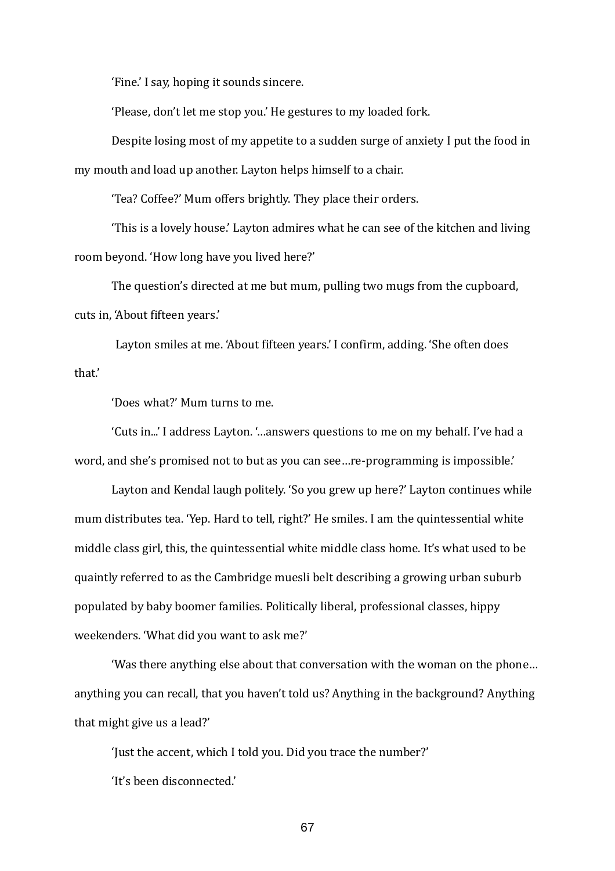'Fine.' I say, hoping it sounds sincere.

'Please, don't let me stop you.' He gestures to my loaded fork.

Despite losing most of my appetite to a sudden surge of anxiety I put the food in my mouth and load up another. Layton helps himself to a chair.

'Tea? Coffee?' Mum offers brightly. They place their orders.

'This is a lovely house.' Layton admires what he can see of the kitchen and living room beyond. 'How long have you lived here?'

The question's directed at me but mum, pulling two mugs from the cupboard, cuts in, 'About fifteen years.'

Layton smiles at me. 'About fifteen years.' I confirm, adding. 'She often does that.'

'Does what?' Mum turns to me.

'Cuts in...' I address Layton. '…answers questions to me on my behalf. I've had a word, and she's promised not to but as you can see…re-programming is impossible.'

Layton and Kendal laugh politely. 'So you grew up here?' Layton continues while mum distributes tea. 'Yep. Hard to tell, right?' He smiles. I am the quintessential white middle class girl, this, the quintessential white middle class home. It's what used to be quaintly referred to as the Cambridge muesli belt describing a growing urban suburb populated by baby boomer families. Politically liberal, professional classes, hippy weekenders. 'What did you want to ask me?'

'Was there anything else about that conversation with the woman on the phone… anything you can recall, that you haven't told us? Anything in the background? Anything that might give us a lead?'

'Just the accent, which I told you. Did you trace the number?'

'It's been disconnected.'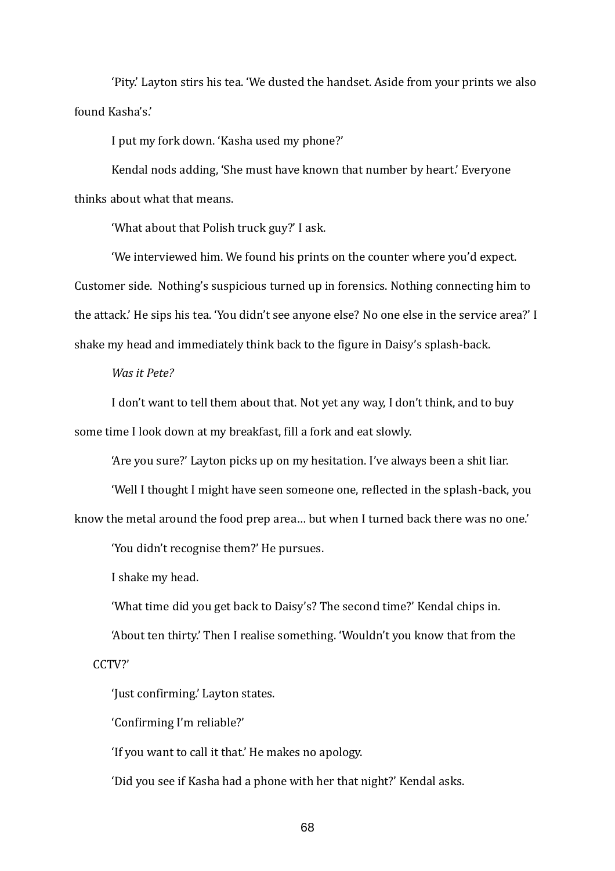'Pity.' Layton stirs his tea. 'We dusted the handset. Aside from your prints we also found Kasha's.'

I put my fork down. 'Kasha used my phone?'

Kendal nods adding, 'She must have known that number by heart.' Everyone thinks about what that means.

'What about that Polish truck guy?' I ask.

'We interviewed him. We found his prints on the counter where you'd expect. Customer side. Nothing's suspicious turned up in forensics. Nothing connecting him to the attack.' He sips his tea. 'You didn't see anyone else? No one else in the service area?' I shake my head and immediately think back to the figure in Daisy's splash-back.

# *Was it Pete?*

I don't want to tell them about that. Not yet any way, I don't think, and to buy some time I look down at my breakfast, fill a fork and eat slowly.

'Are you sure?' Layton picks up on my hesitation. I've always been a shit liar.

'Well I thought I might have seen someone one, reflected in the splash-back, you

know the metal around the food prep area… but when I turned back there was no one.'

'You didn't recognise them?' He pursues.

I shake my head.

'What time did you get back to Daisy's? The second time?' Kendal chips in.

'About ten thirty.' Then I realise something. 'Wouldn't you know that from the

CCTV?'

'Just confirming.' Layton states.

'Confirming I'm reliable?'

'If you want to call it that.' He makes no apology.

'Did you see if Kasha had a phone with her that night?' Kendal asks.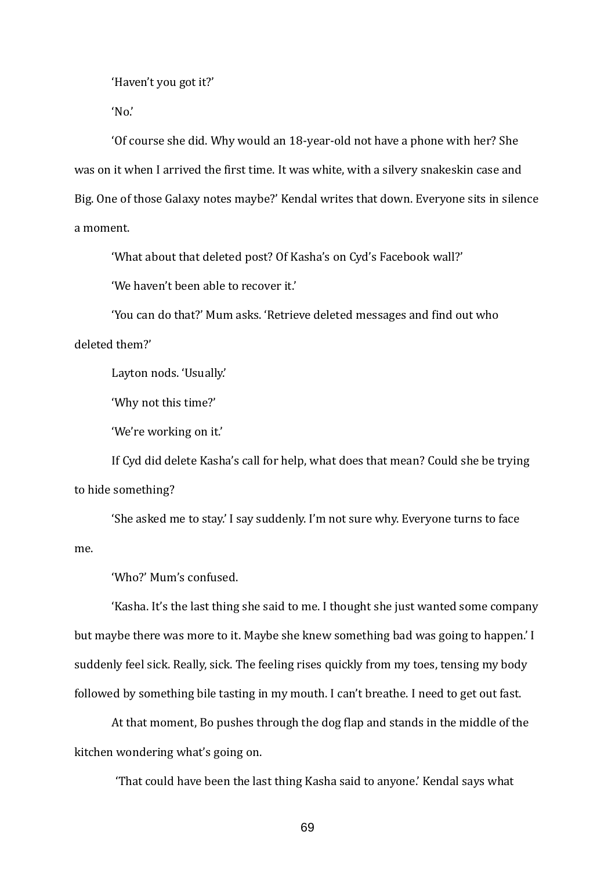'Haven't you got it?'

'No.'

'Of course she did. Why would an 18-year-old not have a phone with her? She was on it when I arrived the first time. It was white, with a silvery snakeskin case and Big. One of those Galaxy notes maybe?' Kendal writes that down. Everyone sits in silence a moment.

'What about that deleted post? Of Kasha's on Cyd's Facebook wall?'

'We haven't been able to recover it.'

'You can do that?' Mum asks. 'Retrieve deleted messages and find out who deleted them?'

Layton nods. 'Usually.'

'Why not this time?'

'We're working on it.'

If Cyd did delete Kasha's call for help, what does that mean? Could she be trying to hide something?

'She asked me to stay.' I say suddenly. I'm not sure why. Everyone turns to face me.

'Who?' Mum's confused.

'Kasha. It's the last thing she said to me. I thought she just wanted some company but maybe there was more to it. Maybe she knew something bad was going to happen.' I suddenly feel sick. Really, sick. The feeling rises quickly from my toes, tensing my body followed by something bile tasting in my mouth. I can't breathe. I need to get out fast.

At that moment, Bo pushes through the dog flap and stands in the middle of the kitchen wondering what's going on.

'That could have been the last thing Kasha said to anyone.' Kendal says what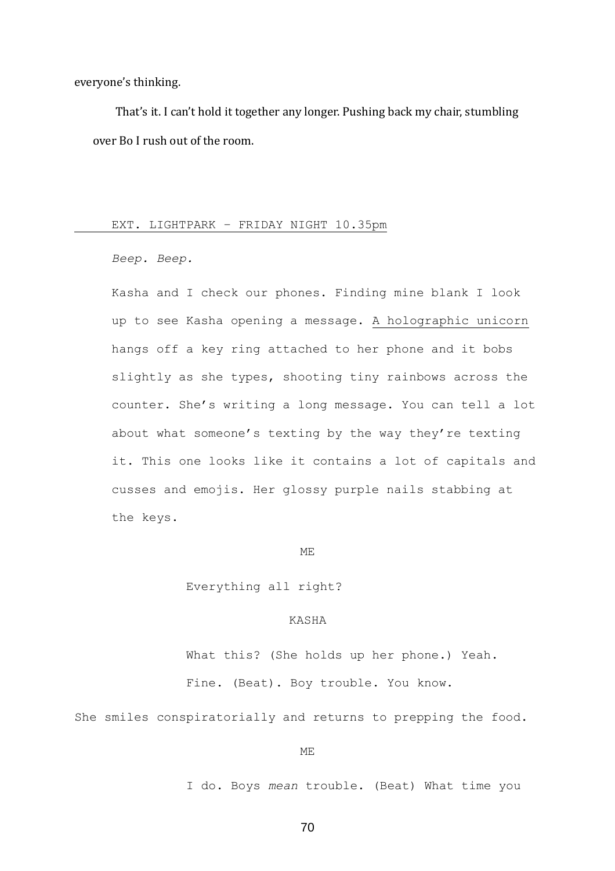everyone's thinking.

That's it. I can't hold it together any longer. Pushing back my chair, stumbling over Bo I rush out of the room.

## EXT. LIGHTPARK – FRIDAY NIGHT 10.35pm

*Beep. Beep.*

Kasha and I check our phones. Finding mine blank I look up to see Kasha opening a message. A holographic unicorn hangs off a key ring attached to her phone and it bobs slightly as she types, shooting tiny rainbows across the counter. She's writing a long message. You can tell a lot about what someone's texting by the way they're texting it. This one looks like it contains a lot of capitals and cusses and emojis. Her glossy purple nails stabbing at the keys.

#### ME

Everything all right?

# KASHA

What this? (She holds up her phone.) Yeah. Fine. (Beat). Boy trouble. You know.

She smiles conspiratorially and returns to prepping the food.

#### ME

I do. Boys *mean* trouble. (Beat) What time you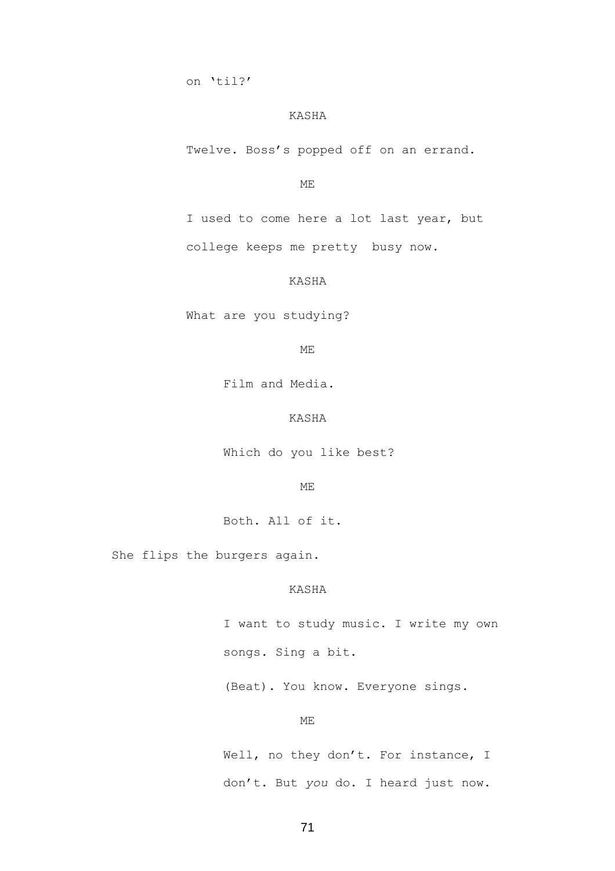on 'til?'

#### KASHA

Twelve. Boss's popped off on an errand.

## ME

I used to come here a lot last year, but college keeps me pretty busy now.

## KASHA

What are you studying?

ME

Film and Media.

# KASHA

Which do you like best?

#### ME

Both. All of it.

She flips the burgers again.

#### KASHA

I want to study music. I write my own songs. Sing a bit.

(Beat). You know. Everyone sings.

## ME

Well, no they don't. For instance, I don't. But *you* do. I heard just now.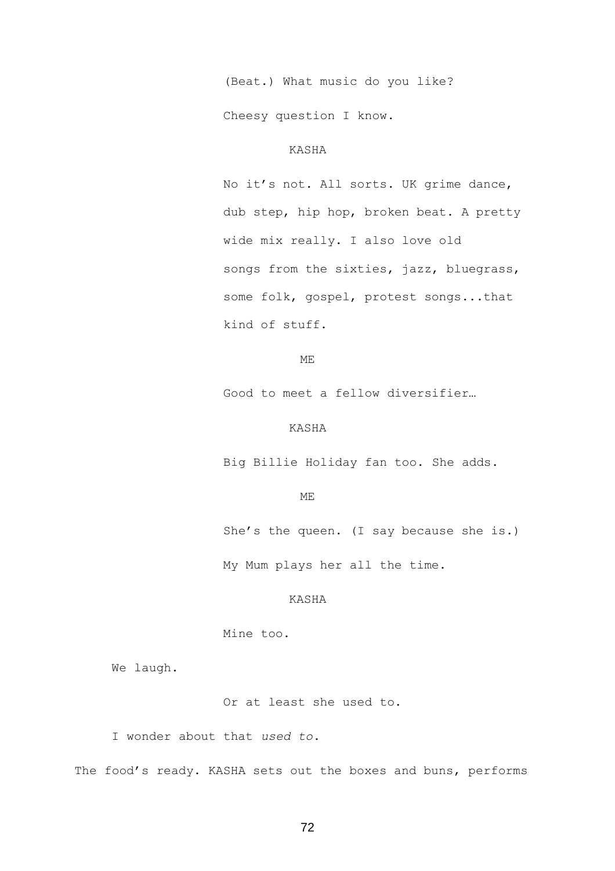(Beat.) What music do you like?

Cheesy question I know.

# KASHA

No it's not. All sorts. UK grime dance, dub step, hip hop, broken beat. A pretty wide mix really. I also love old songs from the sixties, jazz, bluegrass, some folk, gospel, protest songs...that kind of stuff.

ME

Good to meet a fellow diversifier…

## KASHA

Big Billie Holiday fan too. She adds.

#### ME

She's the queen. (I say because she is.)

My Mum plays her all the time.

## KASHA

Mine too.

We laugh.

Or at least she used to.

I wonder about that *used to*.

The food's ready. KASHA sets out the boxes and buns, performs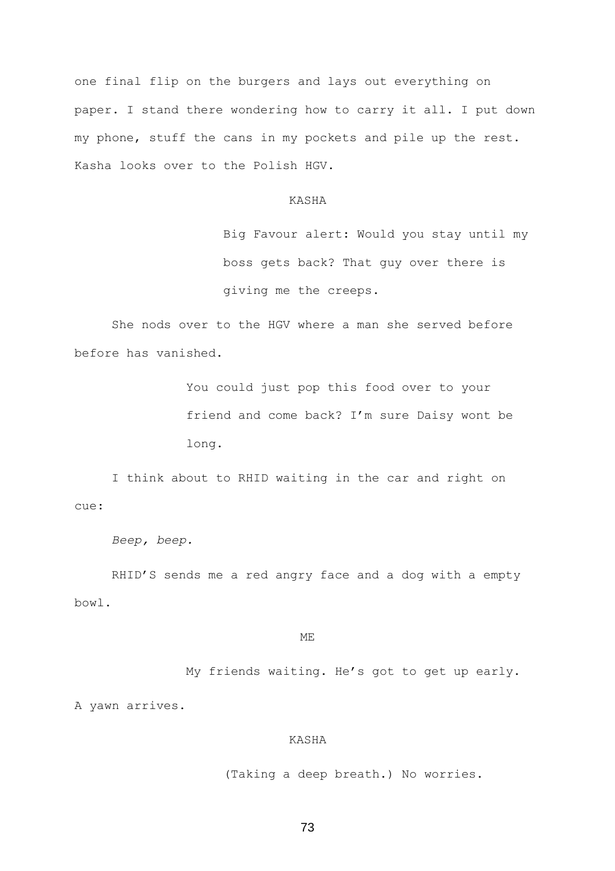one final flip on the burgers and lays out everything on paper. I stand there wondering how to carry it all. I put down my phone, stuff the cans in my pockets and pile up the rest. Kasha looks over to the Polish HGV.

## KASHA

Big Favour alert: Would you stay until my boss gets back? That guy over there is giving me the creeps.

She nods over to the HGV where a man she served before before has vanished.

> You could just pop this food over to your friend and come back? I'm sure Daisy wont be long.

I think about to RHID waiting in the car and right on cue:

```
Beep, beep.
```
RHID'S sends me a red angry face and a dog with a empty bowl.

ME

My friends waiting. He's got to get up early.

A yawn arrives.

## KASHA

(Taking a deep breath.) No worries.

73